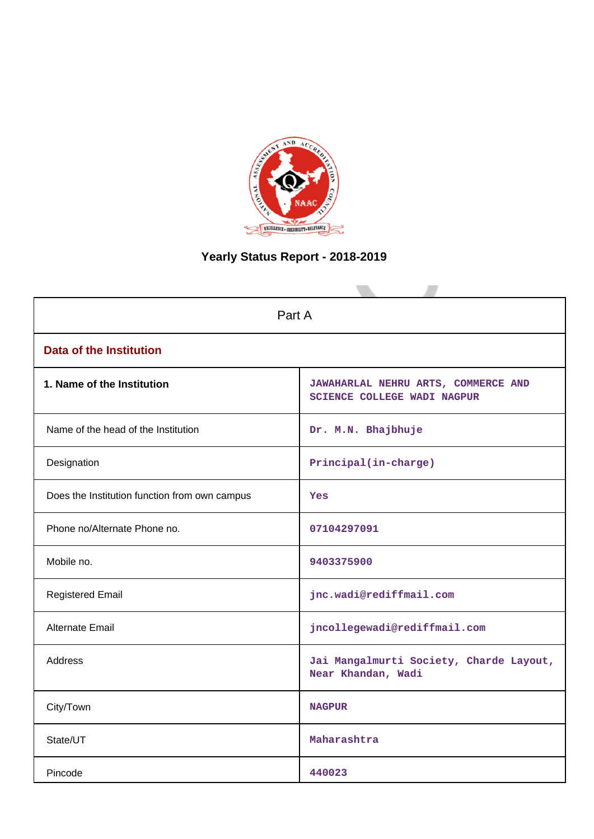

# **Yearly Status Report - 2018-2019**

| Part A                                        |                                                                    |  |
|-----------------------------------------------|--------------------------------------------------------------------|--|
| <b>Data of the Institution</b>                |                                                                    |  |
| 1. Name of the Institution                    | JAWAHARLAL NEHRU ARTS, COMMERCE AND<br>SCIENCE COLLEGE WADI NAGPUR |  |
| Name of the head of the Institution           | Dr. M.N. Bhajbhuje                                                 |  |
| Designation                                   | Principal(in-charge)                                               |  |
| Does the Institution function from own campus | Yes                                                                |  |
| Phone no/Alternate Phone no.                  | 07104297091                                                        |  |
| Mobile no.                                    | 9403375900                                                         |  |
| <b>Registered Email</b>                       | jnc.wadi@rediffmail.com                                            |  |
| Alternate Email                               | jncollegewadi@rediffmail.com                                       |  |
| <b>Address</b>                                | Jai Mangalmurti Society, Charde Layout,<br>Near Khandan, Wadi      |  |
| City/Town                                     | <b>NAGPUR</b>                                                      |  |
| State/UT                                      | Maharashtra                                                        |  |
| Pincode                                       | 440023                                                             |  |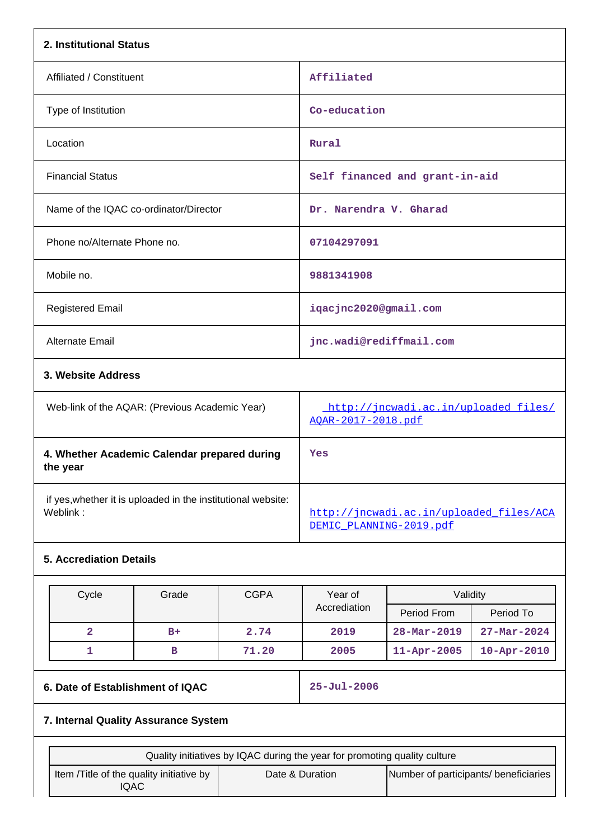| 2. Institutional Status                                                  |                                                                    |
|--------------------------------------------------------------------------|--------------------------------------------------------------------|
| Affiliated / Constituent                                                 | Affiliated                                                         |
| Type of Institution                                                      | Co-education                                                       |
| Location                                                                 | Rural                                                              |
| <b>Financial Status</b>                                                  | Self financed and grant-in-aid                                     |
| Name of the IQAC co-ordinator/Director                                   | Dr. Narendra V. Gharad                                             |
| Phone no/Alternate Phone no.                                             | 07104297091                                                        |
| Mobile no.                                                               | 9881341908                                                         |
| <b>Registered Email</b>                                                  | iqacjnc2020@gmail.com                                              |
| <b>Alternate Email</b>                                                   | jnc.wadi@rediffmail.com                                            |
| 3. Website Address                                                       |                                                                    |
| Web-link of the AQAR: (Previous Academic Year)                           | http://jncwadi.ac.in/uploaded_files/<br>AOAR-2017-2018.pdf         |
| 4. Whether Academic Calendar prepared during<br>the year                 | <b>Yes</b>                                                         |
| if yes, whether it is uploaded in the institutional website:<br>Weblink: | http://jncwadi.ac.in/uploaded files/ACA<br>DEMIC PLANNING-2019.pdf |

# **5. Accrediation Details**

| Cycle | Grade | <b>CGPA</b><br>Validity<br>Year of |              |                   |                          |
|-------|-------|------------------------------------|--------------|-------------------|--------------------------|
|       |       |                                    | Accrediation | Period From       | Period To                |
|       | $B+$  | 2.74                               | 2019         | $28 - Mar - 2019$ | $27 - \text{Mar} - 2024$ |
|       | в     | 71.20                              | 2005         | $11 - Apr - 2005$ | $10 - Apr - 2010$        |

# **6. Date of Establishment of IQAC 25-Jul-2006**

# **7. Internal Quality Assurance System**

| Quality initiatives by IQAC during the year for promoting quality culture |                 |                                       |
|---------------------------------------------------------------------------|-----------------|---------------------------------------|
| Item / Title of the quality initiative by<br>IQAC                         | Date & Duration | Number of participants/ beneficiaries |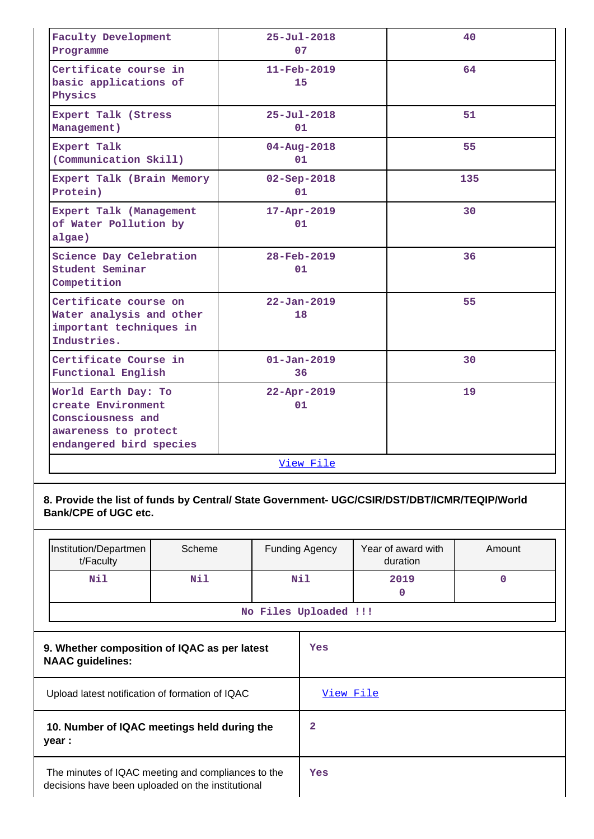| <b>Faculty Development</b><br>Programme                                                                           | $25 - Ju1 - 2018$<br>07        | 40  |
|-------------------------------------------------------------------------------------------------------------------|--------------------------------|-----|
| Certificate course in<br>basic applications of<br>Physics                                                         | $11 - \text{Feb} - 2019$<br>15 | 64  |
| Expert Talk (Stress<br>Management)                                                                                | $25 - Ju1 - 2018$<br>01        | 51  |
| Expert Talk<br>(Communication Skill)                                                                              | $04 - Aug - 2018$<br>01        | 55  |
| Expert Talk (Brain Memory<br>Protein)                                                                             | $02 - Sep - 2018$<br>01        | 135 |
| Expert Talk (Management<br>of Water Pollution by<br>algae)                                                        | $17 - Apr - 2019$<br>01        | 30  |
| Science Day Celebration<br>Student Seminar<br>Competition                                                         | $28 - \text{Feb} - 2019$<br>01 | 36  |
| Certificate course on<br>Water analysis and other<br>important techniques in<br>Industries.                       | $22 - Jan - 2019$<br>18        | 55  |
| Certificate Course in<br>Functional English                                                                       | $01 - Jan - 2019$<br>36        | 30  |
| World Earth Day: To<br>create Environment<br>Consciousness and<br>awareness to protect<br>endangered bird species | $22 - Apr - 2019$<br>01        | 19  |
|                                                                                                                   | View File                      |     |

# **8. Provide the list of funds by Central/ State Government- UGC/CSIR/DST/DBT/ICMR/TEQIP/World Bank/CPE of UGC etc.**

| Institution/Departmen<br>t/Faculty | Scheme | <b>Funding Agency</b> | Year of award with<br>duration | Amount |
|------------------------------------|--------|-----------------------|--------------------------------|--------|
| Nil                                | Nil    | Nil                   | 2019                           |        |
| No Files Uploaded !!!              |        |                       |                                |        |

| 9. Whether composition of IQAC as per latest<br><b>NAAC</b> guidelines:                                 | Yes       |
|---------------------------------------------------------------------------------------------------------|-----------|
| Upload latest notification of formation of IQAC                                                         | View File |
| 10. Number of IQAC meetings held during the<br>year :                                                   | 2         |
| The minutes of IQAC meeting and compliances to the<br>decisions have been uploaded on the institutional | Yes       |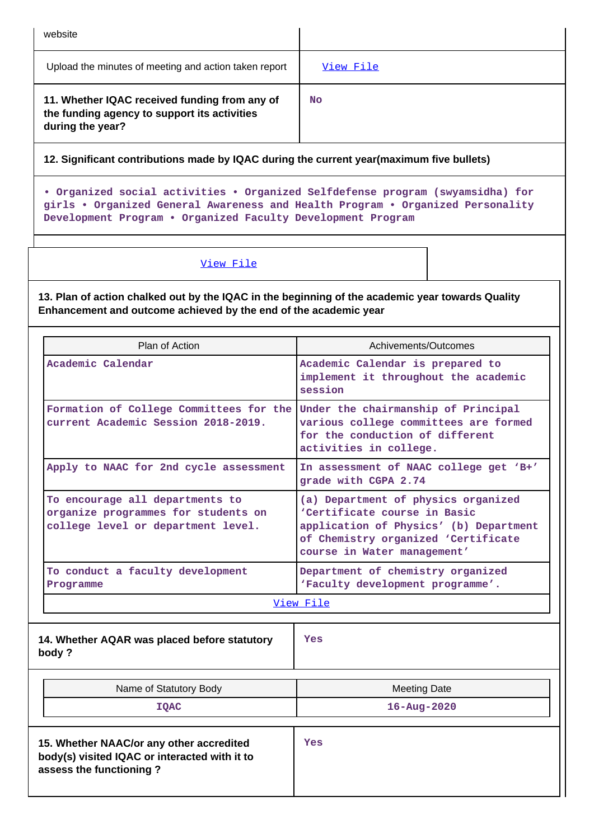| website                                                                                                           |           |
|-------------------------------------------------------------------------------------------------------------------|-----------|
| Upload the minutes of meeting and action taken report                                                             | View File |
| 11. Whether IQAC received funding from any of<br>the funding agency to support its activities<br>during the year? | No        |

**12. Significant contributions made by IQAC during the current year(maximum five bullets)**

**• Organized social activities • Organized Selfdefense program (swyamsidha) for girls • Organized General Awareness and Health Program • Organized Personality Development Program • Organized Faculty Development Program**

[View File](https://assessmentonline.naac.gov.in/public/Postacc/Contribution/10797_Contribution.xlsx)

**13. Plan of action chalked out by the IQAC in the beginning of the academic year towards Quality Enhancement and outcome achieved by the end of the academic year**

| Plan of Action                                                                                                       | Achivements/Outcomes                                                                                                                                                                |
|----------------------------------------------------------------------------------------------------------------------|-------------------------------------------------------------------------------------------------------------------------------------------------------------------------------------|
| Academic Calendar                                                                                                    | Academic Calendar is prepared to<br>implement it throughout the academic<br>session                                                                                                 |
| Formation of College Committees for the<br>current Academic Session 2018-2019.                                       | Under the chairmanship of Principal<br>various college committees are formed<br>for the conduction of different<br>activities in college.                                           |
| Apply to NAAC for 2nd cycle assessment                                                                               | In assessment of NAAC college get 'B+'<br>grade with CGPA 2.74                                                                                                                      |
| To encourage all departments to<br>organize programmes for students on<br>college level or department level.         | (a) Department of physics organized<br>'Certificate course in Basic<br>application of Physics' (b) Department<br>of Chemistry organized 'Certificate<br>course in Water management' |
| To conduct a faculty development<br>Programme                                                                        | Department of chemistry organized<br>'Faculty development programme'.                                                                                                               |
|                                                                                                                      | View File                                                                                                                                                                           |
| 14. Whether AQAR was placed before statutory<br>body?                                                                | <b>Yes</b>                                                                                                                                                                          |
| Name of Statutory Body                                                                                               | <b>Meeting Date</b>                                                                                                                                                                 |
| <b>IOAC</b>                                                                                                          | $16 - Aug - 2020$                                                                                                                                                                   |
| 15. Whether NAAC/or any other accredited<br>body(s) visited IQAC or interacted with it to<br>assess the functioning? | Yes                                                                                                                                                                                 |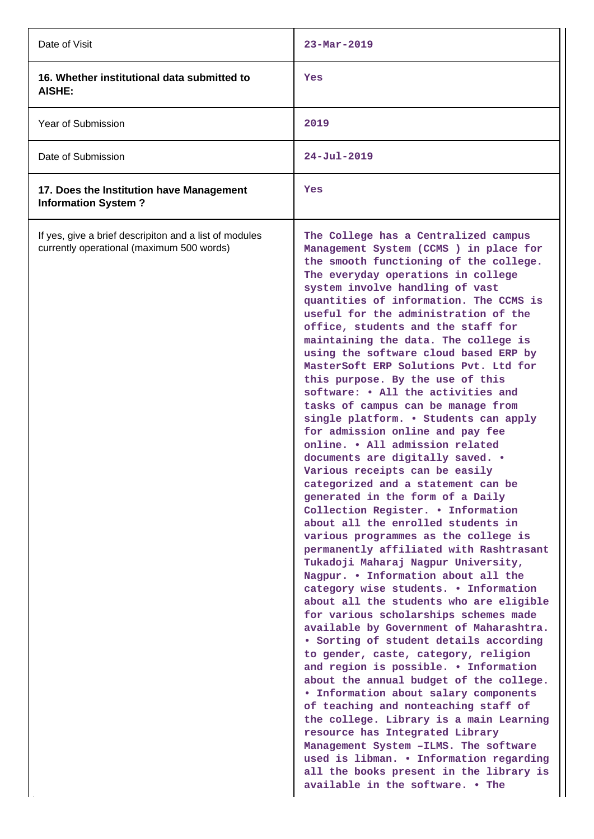| Date of Visit                                                                                       | $23 - \text{Mar} - 2019$                                                                                                                                                                                                                                                                                                                                                                                                                                                                                                                                                                                                                                                                                                                                                                                                                                                                                                                                                                                                                                                                                                                                                                                                                                                                                                                                                                                                                                                                                                                                                                                                                                                                                                                                          |
|-----------------------------------------------------------------------------------------------------|-------------------------------------------------------------------------------------------------------------------------------------------------------------------------------------------------------------------------------------------------------------------------------------------------------------------------------------------------------------------------------------------------------------------------------------------------------------------------------------------------------------------------------------------------------------------------------------------------------------------------------------------------------------------------------------------------------------------------------------------------------------------------------------------------------------------------------------------------------------------------------------------------------------------------------------------------------------------------------------------------------------------------------------------------------------------------------------------------------------------------------------------------------------------------------------------------------------------------------------------------------------------------------------------------------------------------------------------------------------------------------------------------------------------------------------------------------------------------------------------------------------------------------------------------------------------------------------------------------------------------------------------------------------------------------------------------------------------------------------------------------------------|
| 16. Whether institutional data submitted to<br>AISHE:                                               | Yes                                                                                                                                                                                                                                                                                                                                                                                                                                                                                                                                                                                                                                                                                                                                                                                                                                                                                                                                                                                                                                                                                                                                                                                                                                                                                                                                                                                                                                                                                                                                                                                                                                                                                                                                                               |
| Year of Submission                                                                                  | 2019                                                                                                                                                                                                                                                                                                                                                                                                                                                                                                                                                                                                                                                                                                                                                                                                                                                                                                                                                                                                                                                                                                                                                                                                                                                                                                                                                                                                                                                                                                                                                                                                                                                                                                                                                              |
| Date of Submission                                                                                  | $24 - Jul - 2019$                                                                                                                                                                                                                                                                                                                                                                                                                                                                                                                                                                                                                                                                                                                                                                                                                                                                                                                                                                                                                                                                                                                                                                                                                                                                                                                                                                                                                                                                                                                                                                                                                                                                                                                                                 |
| 17. Does the Institution have Management<br><b>Information System?</b>                              | Yes                                                                                                                                                                                                                                                                                                                                                                                                                                                                                                                                                                                                                                                                                                                                                                                                                                                                                                                                                                                                                                                                                                                                                                                                                                                                                                                                                                                                                                                                                                                                                                                                                                                                                                                                                               |
| If yes, give a brief descripiton and a list of modules<br>currently operational (maximum 500 words) | The College has a Centralized campus<br>Management System (CCMS ) in place for<br>the smooth functioning of the college.<br>The everyday operations in college<br>system involve handling of vast<br>quantities of information. The CCMS is<br>useful for the administration of the<br>office, students and the staff for<br>maintaining the data. The college is<br>using the software cloud based ERP by<br>MasterSoft ERP Solutions Pvt. Ltd for<br>this purpose. By the use of this<br>software: • All the activities and<br>tasks of campus can be manage from<br>single platform. . Students can apply<br>for admission online and pay fee<br>online. . All admission related<br>documents are digitally saved. .<br>Various receipts can be easily<br>categorized and a statement can be<br>generated in the form of a Daily<br>Collection Register. . Information<br>about all the enrolled students in<br>various programmes as the college is<br>permanently affiliated with Rashtrasant<br>Tukadoji Maharaj Nagpur University,<br>Nagpur. . Information about all the<br>category wise students. . Information<br>about all the students who are eligible<br>for various scholarships schemes made<br>available by Government of Maharashtra.<br>• Sorting of student details according<br>to gender, caste, category, religion<br>and region is possible. . Information<br>about the annual budget of the college.<br>. Information about salary components<br>of teaching and nonteaching staff of<br>the college. Library is a main Learning<br>resource has Integrated Library<br>Management System - ILMS. The software<br>used is libman. . Information regarding<br>all the books present in the library is<br>available in the software. . The |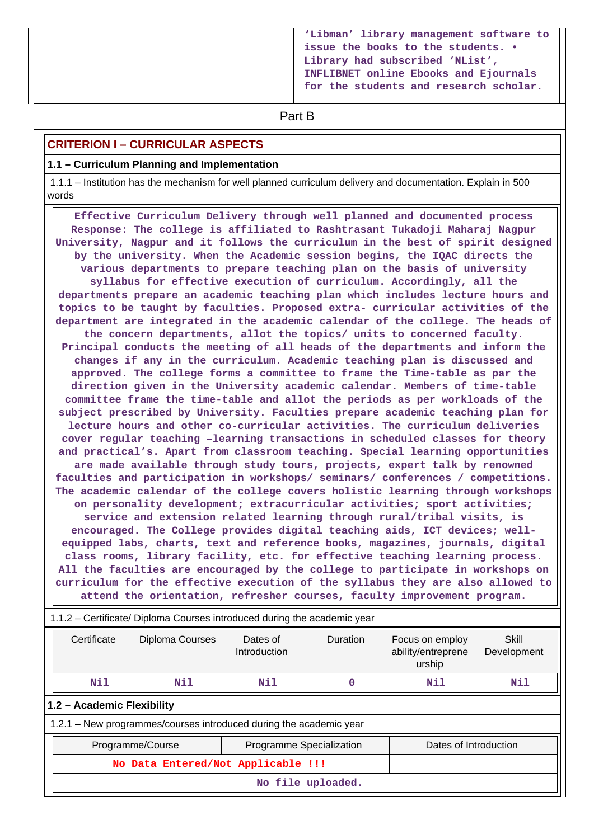**'Libman' library management software to issue the books to the students. • Library had subscribed 'NList', INFLIBNET online Ebooks and Ejournals for the students and research scholar.**

# **Part B**

### **CRITERION I – CURRICULAR ASPECTS**

#### **1.1 – Curriculum Planning and Implementation**

 1.1.1 – Institution has the mechanism for well planned curriculum delivery and documentation. Explain in 500 words

 **Effective Curriculum Delivery through well planned and documented process Response: The college is affiliated to Rashtrasant Tukadoji Maharaj Nagpur University, Nagpur and it follows the curriculum in the best of spirit designed by the university. When the Academic session begins, the IQAC directs the various departments to prepare teaching plan on the basis of university syllabus for effective execution of curriculum. Accordingly, all the departments prepare an academic teaching plan which includes lecture hours and topics to be taught by faculties. Proposed extra- curricular activities of the department are integrated in the academic calendar of the college. The heads of the concern departments, allot the topics/ units to concerned faculty. Principal conducts the meeting of all heads of the departments and inform the changes if any in the curriculum. Academic teaching plan is discussed and approved. The college forms a committee to frame the Time-table as par the direction given in the University academic calendar. Members of time-table committee frame the time-table and allot the periods as per workloads of the subject prescribed by University. Faculties prepare academic teaching plan for lecture hours and other co-curricular activities. The curriculum deliveries cover regular teaching –learning transactions in scheduled classes for theory and practical's. Apart from classroom teaching. Special learning opportunities are made available through study tours, projects, expert talk by renowned faculties and participation in workshops/ seminars/ conferences / competitions. The academic calendar of the college covers holistic learning through workshops on personality development; extracurricular activities; sport activities; service and extension related learning through rural/tribal visits, is encouraged. The College provides digital teaching aids, ICT devices; wellequipped labs, charts, text and reference books, magazines, journals, digital class rooms, library facility, etc. for effective teaching learning process. All the faculties are encouraged by the college to participate in workshops on curriculum for the effective execution of the syllabus they are also allowed to attend the orientation, refresher courses, faculty improvement program.** 1.1.2 – Certificate/ Diploma Courses introduced during the academic year Certificate Diploma Courses Dates of Introduction Duration Focus on employ ability/entreprene urship **Skill** Development  **Nil Nil Nil 0 Nil Nil**

**1.2 – Academic Flexibility**

1.2.1 – New programmes/courses introduced during the academic year

| Programme/Course<br>Programme Specialization |  | Dates of Introduction |
|----------------------------------------------|--|-----------------------|
| No Data Entered/Not Applicable !!!           |  |                       |
| No file uploaded.                            |  |                       |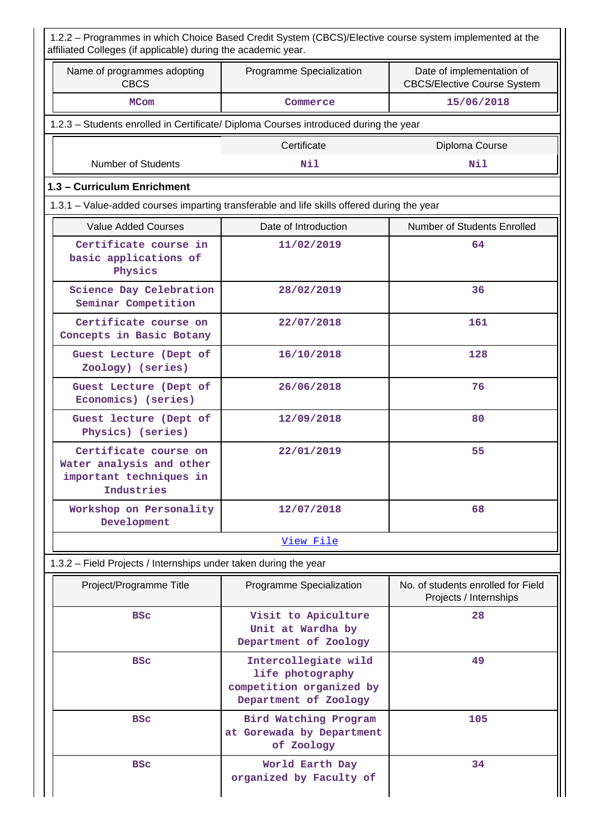| Name of programmes adopting<br><b>CBCS</b>                                                 | Programme Specialization                                                                      | Date of implementation of<br><b>CBCS/Elective Course System</b> |
|--------------------------------------------------------------------------------------------|-----------------------------------------------------------------------------------------------|-----------------------------------------------------------------|
| <b>MCom</b>                                                                                | Commerce                                                                                      | 15/06/2018                                                      |
|                                                                                            | 1.2.3 - Students enrolled in Certificate/ Diploma Courses introduced during the year          |                                                                 |
|                                                                                            | Certificate                                                                                   | Diploma Course                                                  |
| <b>Number of Students</b>                                                                  | Nil                                                                                           | Nil                                                             |
| 1.3 - Curriculum Enrichment                                                                |                                                                                               |                                                                 |
|                                                                                            | 1.3.1 – Value-added courses imparting transferable and life skills offered during the year    |                                                                 |
| <b>Value Added Courses</b>                                                                 | Date of Introduction                                                                          | Number of Students Enrolled                                     |
| Certificate course in<br>basic applications of<br>Physics                                  | 11/02/2019                                                                                    | 64                                                              |
| Science Day Celebration<br>Seminar Competition                                             | 28/02/2019                                                                                    | 36                                                              |
| Certificate course on<br>Concepts in Basic Botany                                          | 22/07/2018                                                                                    | 161                                                             |
| Guest Lecture (Dept of<br>Zoology) (series)                                                | 16/10/2018                                                                                    | 128                                                             |
| Guest Lecture (Dept of<br>Economics) (series)                                              | 26/06/2018                                                                                    | 76                                                              |
| Guest lecture (Dept of<br>Physics) (series)                                                | 12/09/2018                                                                                    | 80                                                              |
| Certificate course on<br>Water analysis and other<br>important techniques in<br>Industries | 22/01/2019                                                                                    | 55                                                              |
| Workshop on Personality<br>Development                                                     | 12/07/2018                                                                                    | 68                                                              |
|                                                                                            | View File                                                                                     |                                                                 |
| 1.3.2 – Field Projects / Internships under taken during the year                           |                                                                                               |                                                                 |
| Project/Programme Title                                                                    | Programme Specialization                                                                      | No. of students enrolled for Field<br>Projects / Internships    |
| <b>BSC</b>                                                                                 | Visit to Apiculture<br>Unit at Wardha by<br>Department of Zoology                             | 28                                                              |
| <b>BSC</b>                                                                                 | Intercollegiate wild<br>life photography<br>competition organized by<br>Department of Zoology | 49                                                              |
| <b>BSC</b>                                                                                 | Bird Watching Program<br>at Gorewada by Department<br>of Zoology                              | 105                                                             |
| <b>BSC</b>                                                                                 | World Earth Day<br>organized by Faculty of                                                    | 34                                                              |

Ш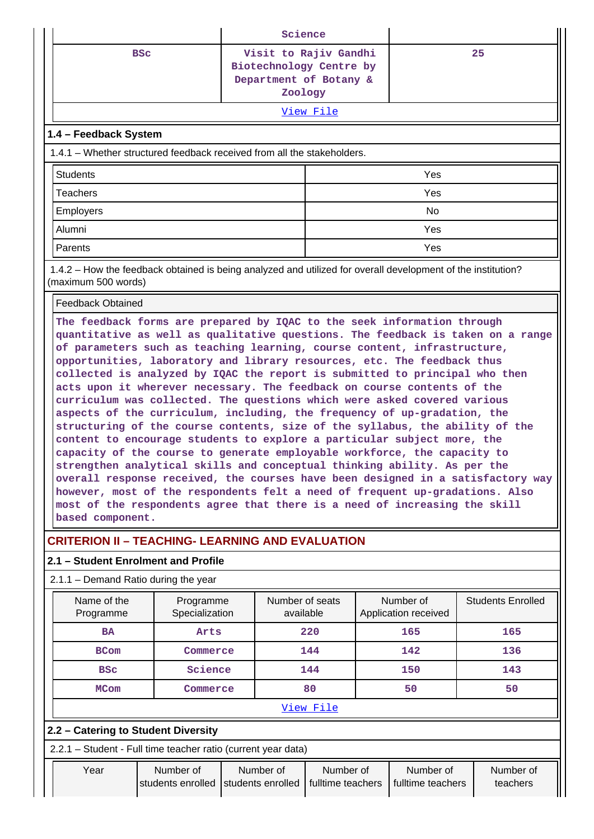| Science               |                                                                         |                                                              |                       |    |  |  |  |  |  |
|-----------------------|-------------------------------------------------------------------------|--------------------------------------------------------------|-----------------------|----|--|--|--|--|--|
|                       | <b>BSC</b>                                                              | Biotechnology Centre by<br>Department of Botany &<br>Zoology | Visit to Rajiv Gandhi | 25 |  |  |  |  |  |
|                       | View File                                                               |                                                              |                       |    |  |  |  |  |  |
| 1.4 - Feedback System |                                                                         |                                                              |                       |    |  |  |  |  |  |
|                       | 1.4.1 – Whether structured feedback received from all the stakeholders. |                                                              |                       |    |  |  |  |  |  |
| <b>Students</b>       |                                                                         |                                                              | Yes                   |    |  |  |  |  |  |
| <b>Teachers</b>       |                                                                         |                                                              | Yes                   |    |  |  |  |  |  |
| Employers             |                                                                         |                                                              | No                    |    |  |  |  |  |  |
| Alumni                |                                                                         |                                                              | Yes                   |    |  |  |  |  |  |
| Parents               |                                                                         |                                                              | Yes                   |    |  |  |  |  |  |

 1.4.2 – How the feedback obtained is being analyzed and utilized for overall development of the institution? (maximum 500 words)

#### Feedback Obtained

**The feedback forms are prepared by IQAC to the seek information through quantitative as well as qualitative questions. The feedback is taken on a range of parameters such as teaching learning, course content, infrastructure, opportunities, laboratory and library resources, etc. The feedback thus collected is analyzed by IQAC the report is submitted to principal who then acts upon it wherever necessary. The feedback on course contents of the curriculum was collected. The questions which were asked covered various aspects of the curriculum, including, the frequency of up-gradation, the structuring of the course contents, size of the syllabus, the ability of the content to encourage students to explore a particular subject more, the capacity of the course to generate employable workforce, the capacity to strengthen analytical skills and conceptual thinking ability. As per the overall response received, the courses have been designed in a satisfactory way however, most of the respondents felt a need of frequent up-gradations. Also most of the respondents agree that there is a need of increasing the skill based component.**

# **CRITERION II – TEACHING- LEARNING AND EVALUATION**

### **2.1 – Student Enrolment and Profile**

#### 2.1.1 – Demand Ratio during the year

| Name of the<br>Programme | Programme<br>Specialization | Number of seats<br>available | Number of<br>Application received | <b>Students Enrolled</b> |  |  |  |  |
|--------------------------|-----------------------------|------------------------------|-----------------------------------|--------------------------|--|--|--|--|
| <b>BA</b>                | Arts                        | 220                          | 165                               | 165                      |  |  |  |  |
| <b>BCom</b>              | Commerce                    | 144                          | 142                               | 136                      |  |  |  |  |
| <b>BSC</b>               | Science                     | 144                          | 150                               | 143                      |  |  |  |  |
| <b>MCom</b>              | Commerce                    |                              | 50                                | 50                       |  |  |  |  |
| View File                |                             |                              |                                   |                          |  |  |  |  |

#### **2.2 – Catering to Student Diversity**

2.2.1 – Student - Full time teacher ratio (current year data)

| Year | Number of | Number of                                               | Number of | Number of         | Number of |  |
|------|-----------|---------------------------------------------------------|-----------|-------------------|-----------|--|
|      |           | students enrolled Students enrolled   fulltime teachers |           | fulltime teachers | teachers  |  |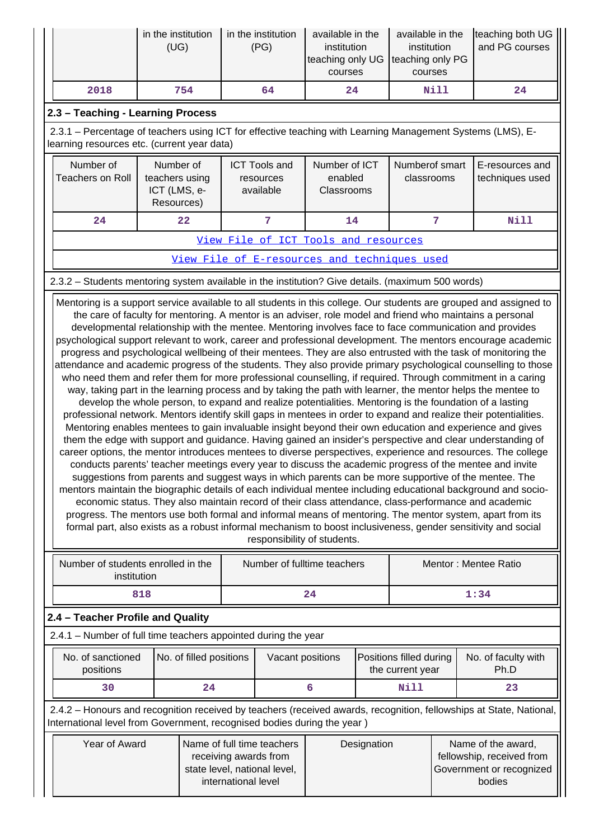|                                                                                                                                                                                                                                                                                                                                                                                                                                                                                                                                                                                                                                                                                                                                                                                                                                                                                                                                                                                                                                                                                                                                                                                                                                                                                                                                                                                                                                                                                                                                                                                                                                                                                                                                                                                                                                                                                                                                                                                                                                                                                                                                                                                                                | in the institution<br>(UG)                                |                         |  | in the institution<br>(PG)                     | available in the<br>institution<br>teaching only UG<br>courses |  | available in the<br>institution<br>teaching only PG<br>courses |                | teaching both UG<br>and PG courses                                                                                  |  |
|----------------------------------------------------------------------------------------------------------------------------------------------------------------------------------------------------------------------------------------------------------------------------------------------------------------------------------------------------------------------------------------------------------------------------------------------------------------------------------------------------------------------------------------------------------------------------------------------------------------------------------------------------------------------------------------------------------------------------------------------------------------------------------------------------------------------------------------------------------------------------------------------------------------------------------------------------------------------------------------------------------------------------------------------------------------------------------------------------------------------------------------------------------------------------------------------------------------------------------------------------------------------------------------------------------------------------------------------------------------------------------------------------------------------------------------------------------------------------------------------------------------------------------------------------------------------------------------------------------------------------------------------------------------------------------------------------------------------------------------------------------------------------------------------------------------------------------------------------------------------------------------------------------------------------------------------------------------------------------------------------------------------------------------------------------------------------------------------------------------------------------------------------------------------------------------------------------------|-----------------------------------------------------------|-------------------------|--|------------------------------------------------|----------------------------------------------------------------|--|----------------------------------------------------------------|----------------|---------------------------------------------------------------------------------------------------------------------|--|
| 2018                                                                                                                                                                                                                                                                                                                                                                                                                                                                                                                                                                                                                                                                                                                                                                                                                                                                                                                                                                                                                                                                                                                                                                                                                                                                                                                                                                                                                                                                                                                                                                                                                                                                                                                                                                                                                                                                                                                                                                                                                                                                                                                                                                                                           |                                                           | 754                     |  | 64                                             | 24                                                             |  |                                                                | Nill           | 24                                                                                                                  |  |
| 2.3 - Teaching - Learning Process                                                                                                                                                                                                                                                                                                                                                                                                                                                                                                                                                                                                                                                                                                                                                                                                                                                                                                                                                                                                                                                                                                                                                                                                                                                                                                                                                                                                                                                                                                                                                                                                                                                                                                                                                                                                                                                                                                                                                                                                                                                                                                                                                                              |                                                           |                         |  |                                                |                                                                |  |                                                                |                |                                                                                                                     |  |
| 2.3.1 – Percentage of teachers using ICT for effective teaching with Learning Management Systems (LMS), E-<br>learning resources etc. (current year data)                                                                                                                                                                                                                                                                                                                                                                                                                                                                                                                                                                                                                                                                                                                                                                                                                                                                                                                                                                                                                                                                                                                                                                                                                                                                                                                                                                                                                                                                                                                                                                                                                                                                                                                                                                                                                                                                                                                                                                                                                                                      |                                                           |                         |  |                                                |                                                                |  |                                                                |                |                                                                                                                     |  |
| Number of<br><b>Teachers on Roll</b>                                                                                                                                                                                                                                                                                                                                                                                                                                                                                                                                                                                                                                                                                                                                                                                                                                                                                                                                                                                                                                                                                                                                                                                                                                                                                                                                                                                                                                                                                                                                                                                                                                                                                                                                                                                                                                                                                                                                                                                                                                                                                                                                                                           | Number of<br>teachers using<br>ICT (LMS, e-<br>Resources) |                         |  | <b>ICT Tools and</b><br>resources<br>available | Number of ICT<br>enabled<br>Classrooms                         |  | Numberof smart<br>classrooms                                   |                | E-resources and<br>techniques used                                                                                  |  |
| 24                                                                                                                                                                                                                                                                                                                                                                                                                                                                                                                                                                                                                                                                                                                                                                                                                                                                                                                                                                                                                                                                                                                                                                                                                                                                                                                                                                                                                                                                                                                                                                                                                                                                                                                                                                                                                                                                                                                                                                                                                                                                                                                                                                                                             |                                                           | 22                      |  | 7                                              | 14                                                             |  |                                                                | $\overline{7}$ | <b>Nill</b>                                                                                                         |  |
|                                                                                                                                                                                                                                                                                                                                                                                                                                                                                                                                                                                                                                                                                                                                                                                                                                                                                                                                                                                                                                                                                                                                                                                                                                                                                                                                                                                                                                                                                                                                                                                                                                                                                                                                                                                                                                                                                                                                                                                                                                                                                                                                                                                                                |                                                           |                         |  |                                                | View File of ICT Tools and resources                           |  |                                                                |                |                                                                                                                     |  |
| View File of E-resources and techniques used                                                                                                                                                                                                                                                                                                                                                                                                                                                                                                                                                                                                                                                                                                                                                                                                                                                                                                                                                                                                                                                                                                                                                                                                                                                                                                                                                                                                                                                                                                                                                                                                                                                                                                                                                                                                                                                                                                                                                                                                                                                                                                                                                                   |                                                           |                         |  |                                                |                                                                |  |                                                                |                |                                                                                                                     |  |
| 2.3.2 - Students mentoring system available in the institution? Give details. (maximum 500 words)                                                                                                                                                                                                                                                                                                                                                                                                                                                                                                                                                                                                                                                                                                                                                                                                                                                                                                                                                                                                                                                                                                                                                                                                                                                                                                                                                                                                                                                                                                                                                                                                                                                                                                                                                                                                                                                                                                                                                                                                                                                                                                              |                                                           |                         |  |                                                |                                                                |  |                                                                |                |                                                                                                                     |  |
| Mentoring is a support service available to all students in this college. Our students are grouped and assigned to<br>the care of faculty for mentoring. A mentor is an adviser, role model and friend who maintains a personal<br>developmental relationship with the mentee. Mentoring involves face to face communication and provides<br>psychological support relevant to work, career and professional development. The mentors encourage academic<br>progress and psychological wellbeing of their mentees. They are also entrusted with the task of monitoring the<br>attendance and academic progress of the students. They also provide primary psychological counselling to those<br>who need them and refer them for more professional counselling, if required. Through commitment in a caring<br>way, taking part in the learning process and by taking the path with learner, the mentor helps the mentee to<br>develop the whole person, to expand and realize potentialities. Mentoring is the foundation of a lasting<br>professional network. Mentors identify skill gaps in mentees in order to expand and realize their potentialities.<br>Mentoring enables mentees to gain invaluable insight beyond their own education and experience and gives<br>them the edge with support and guidance. Having gained an insider's perspective and clear understanding of<br>career options, the mentor introduces mentees to diverse perspectives, experience and resources. The college<br>conducts parents' teacher meetings every year to discuss the academic progress of the mentee and invite<br>suggestions from parents and suggest ways in which parents can be more supportive of the mentee. The<br>mentors maintain the biographic details of each individual mentee including educational background and socio-<br>economic status. They also maintain record of their class attendance, class-performance and academic<br>progress. The mentors use both formal and informal means of mentoring. The mentor system, apart from its<br>formal part, also exists as a robust informal mechanism to boost inclusiveness, gender sensitivity and social<br>responsibility of students. |                                                           |                         |  |                                                |                                                                |  |                                                                |                |                                                                                                                     |  |
| Number of students enrolled in the<br>institution                                                                                                                                                                                                                                                                                                                                                                                                                                                                                                                                                                                                                                                                                                                                                                                                                                                                                                                                                                                                                                                                                                                                                                                                                                                                                                                                                                                                                                                                                                                                                                                                                                                                                                                                                                                                                                                                                                                                                                                                                                                                                                                                                              |                                                           |                         |  |                                                | Number of fulltime teachers                                    |  |                                                                |                | Mentor: Mentee Ratio                                                                                                |  |
|                                                                                                                                                                                                                                                                                                                                                                                                                                                                                                                                                                                                                                                                                                                                                                                                                                                                                                                                                                                                                                                                                                                                                                                                                                                                                                                                                                                                                                                                                                                                                                                                                                                                                                                                                                                                                                                                                                                                                                                                                                                                                                                                                                                                                | 818                                                       |                         |  |                                                | 24                                                             |  |                                                                |                | 1:34                                                                                                                |  |
| 2.4 - Teacher Profile and Quality                                                                                                                                                                                                                                                                                                                                                                                                                                                                                                                                                                                                                                                                                                                                                                                                                                                                                                                                                                                                                                                                                                                                                                                                                                                                                                                                                                                                                                                                                                                                                                                                                                                                                                                                                                                                                                                                                                                                                                                                                                                                                                                                                                              |                                                           |                         |  |                                                |                                                                |  |                                                                |                |                                                                                                                     |  |
| 2.4.1 - Number of full time teachers appointed during the year                                                                                                                                                                                                                                                                                                                                                                                                                                                                                                                                                                                                                                                                                                                                                                                                                                                                                                                                                                                                                                                                                                                                                                                                                                                                                                                                                                                                                                                                                                                                                                                                                                                                                                                                                                                                                                                                                                                                                                                                                                                                                                                                                 |                                                           |                         |  |                                                |                                                                |  |                                                                |                |                                                                                                                     |  |
| No. of sanctioned<br>positions                                                                                                                                                                                                                                                                                                                                                                                                                                                                                                                                                                                                                                                                                                                                                                                                                                                                                                                                                                                                                                                                                                                                                                                                                                                                                                                                                                                                                                                                                                                                                                                                                                                                                                                                                                                                                                                                                                                                                                                                                                                                                                                                                                                 |                                                           | No. of filled positions |  | Vacant positions                               |                                                                |  | Positions filled during<br>the current year                    |                | No. of faculty with<br>Ph.D                                                                                         |  |
| 30                                                                                                                                                                                                                                                                                                                                                                                                                                                                                                                                                                                                                                                                                                                                                                                                                                                                                                                                                                                                                                                                                                                                                                                                                                                                                                                                                                                                                                                                                                                                                                                                                                                                                                                                                                                                                                                                                                                                                                                                                                                                                                                                                                                                             |                                                           | 24                      |  |                                                | 6                                                              |  | <b>Nill</b>                                                    |                | 23                                                                                                                  |  |
| International level from Government, recognised bodies during the year)                                                                                                                                                                                                                                                                                                                                                                                                                                                                                                                                                                                                                                                                                                                                                                                                                                                                                                                                                                                                                                                                                                                                                                                                                                                                                                                                                                                                                                                                                                                                                                                                                                                                                                                                                                                                                                                                                                                                                                                                                                                                                                                                        |                                                           |                         |  |                                                |                                                                |  |                                                                |                | 2.4.2 - Honours and recognition received by teachers (received awards, recognition, fellowships at State, National, |  |
| Year of Award<br>Name of full time teachers<br>Name of the award,<br>Designation<br>fellowship, received from<br>receiving awards from<br>state level, national level,<br>Government or recognized<br>international level<br>bodies                                                                                                                                                                                                                                                                                                                                                                                                                                                                                                                                                                                                                                                                                                                                                                                                                                                                                                                                                                                                                                                                                                                                                                                                                                                                                                                                                                                                                                                                                                                                                                                                                                                                                                                                                                                                                                                                                                                                                                            |                                                           |                         |  |                                                |                                                                |  |                                                                |                |                                                                                                                     |  |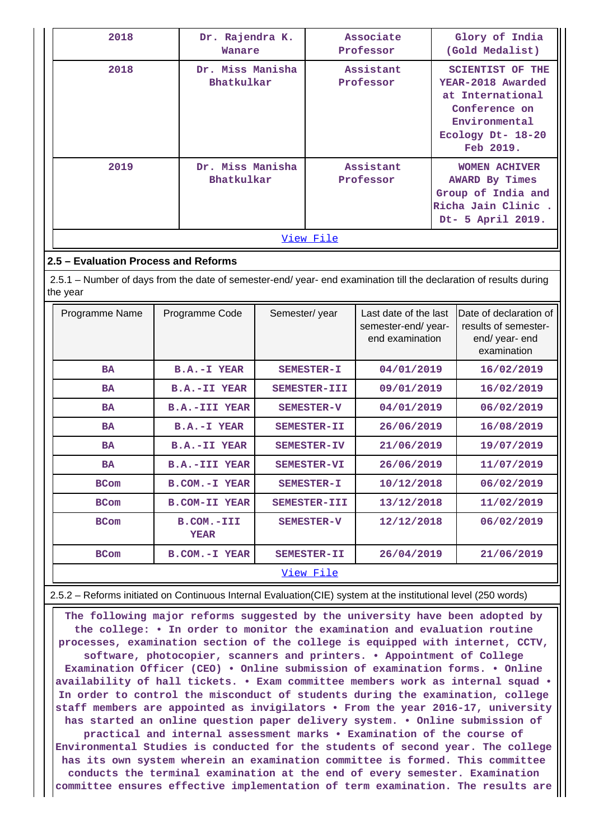| 2018      | Dr. Rajendra K.<br>Wanare      | Associate<br>Professor | Glory of India<br>(Gold Medalist)                                                                                                    |  |  |  |  |  |  |
|-----------|--------------------------------|------------------------|--------------------------------------------------------------------------------------------------------------------------------------|--|--|--|--|--|--|
| 2018      | Dr. Miss Manisha<br>Bhatkulkar | Assistant<br>Professor | <b>SCIENTIST OF THE</b><br>YEAR-2018 Awarded<br>at International<br>Conference on<br>Environmental<br>Ecology Dt- 18-20<br>Feb 2019. |  |  |  |  |  |  |
| 2019      | Dr. Miss Manisha<br>Bhatkulkar | Assistant<br>Professor | <b>WOMEN ACHIVER</b><br><b>AWARD By Times</b><br>Group of India and<br>Richa Jain Clinic.<br>Dt- 5 April 2019.                       |  |  |  |  |  |  |
| View File |                                |                        |                                                                                                                                      |  |  |  |  |  |  |

## **2.5 – Evaluation Process and Reforms**

 2.5.1 – Number of days from the date of semester-end/ year- end examination till the declaration of results during the year

| Programme Name | Programme Code            | Semester/year      | Last date of the last<br>semester-end/year-<br>end examination | Date of declaration of<br>results of semester-<br>end/ year- end<br>examination |
|----------------|---------------------------|--------------------|----------------------------------------------------------------|---------------------------------------------------------------------------------|
| <b>BA</b>      | B.A.-I YEAR               | SEMESTER-I         | 04/01/2019                                                     | 16/02/2019                                                                      |
| <b>BA</b>      | <b>B.A.-II YEAR</b>       | SEMESTER-III       | 09/01/2019                                                     | 16/02/2019                                                                      |
| <b>BA</b>      | <b>B.A.-III YEAR</b>      | <b>SEMESTER-V</b>  | 04/01/2019                                                     | 06/02/2019                                                                      |
| <b>BA</b>      | B.A.-I YEAR               | SEMESTER-II        | 26/06/2019                                                     | 16/08/2019                                                                      |
| <b>BA</b>      | <b>B.A.-II YEAR</b>       | SEMESTER-IV        | 21/06/2019                                                     | 19/07/2019                                                                      |
| <b>BA</b>      | <b>B.A.-III YEAR</b>      | <b>SEMESTER-VI</b> | 26/06/2019                                                     | 11/07/2019                                                                      |
| <b>BCom</b>    | B.COM.-I YEAR             | SEMESTER-I         | 10/12/2018                                                     | 06/02/2019                                                                      |
| <b>BCom</b>    | <b>B.COM-II YEAR</b>      | SEMESTER-III       | 13/12/2018                                                     | 11/02/2019                                                                      |
| <b>BCom</b>    | B.COM.-III<br><b>YEAR</b> | SEMESTER-V         | 12/12/2018                                                     | 06/02/2019                                                                      |
| <b>BCom</b>    | <b>B.COM.-I YEAR</b>      | SEMESTER-II        | 26/04/2019                                                     | 21/06/2019                                                                      |
|                |                           | <u>View File</u>   |                                                                |                                                                                 |

2.5.2 – Reforms initiated on Continuous Internal Evaluation(CIE) system at the institutional level (250 words)

 **The following major reforms suggested by the university have been adopted by the college: • In order to monitor the examination and evaluation routine processes, examination section of the college is equipped with internet, CCTV, software, photocopier, scanners and printers. • Appointment of College Examination Officer (CEO) • Online submission of examination forms. • Online availability of hall tickets. • Exam committee members work as internal squad • In order to control the misconduct of students during the examination, college staff members are appointed as invigilators • From the year 2016-17, university has started an online question paper delivery system. • Online submission of practical and internal assessment marks • Examination of the course of Environmental Studies is conducted for the students of second year. The college has its own system wherein an examination committee is formed. This committee conducts the terminal examination at the end of every semester. Examination committee ensures effective implementation of term examination. The results are**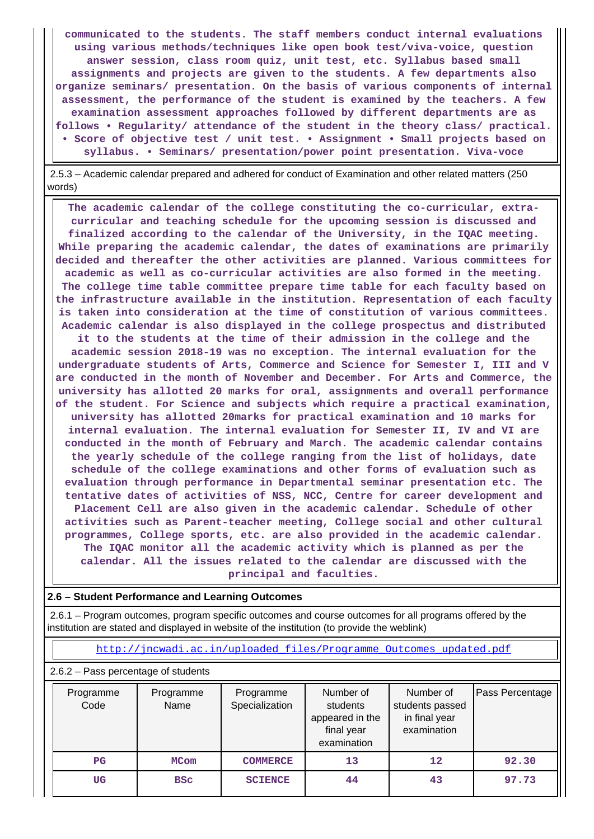**communicated to the students. The staff members conduct internal evaluations using various methods/techniques like open book test/viva-voice, question answer session, class room quiz, unit test, etc. Syllabus based small assignments and projects are given to the students. A few departments also organize seminars/ presentation. On the basis of various components of internal assessment, the performance of the student is examined by the teachers. A few examination assessment approaches followed by different departments are as follows • Regularity/ attendance of the student in the theory class/ practical. • Score of objective test / unit test. • Assignment • Small projects based on syllabus. • Seminars/ presentation/power point presentation. Viva-voce**

 2.5.3 – Academic calendar prepared and adhered for conduct of Examination and other related matters (250 words)

 **The academic calendar of the college constituting the co-curricular, extracurricular and teaching schedule for the upcoming session is discussed and finalized according to the calendar of the University, in the IQAC meeting. While preparing the academic calendar, the dates of examinations are primarily decided and thereafter the other activities are planned. Various committees for academic as well as co-curricular activities are also formed in the meeting. The college time table committee prepare time table for each faculty based on the infrastructure available in the institution. Representation of each faculty is taken into consideration at the time of constitution of various committees. Academic calendar is also displayed in the college prospectus and distributed it to the students at the time of their admission in the college and the academic session 2018-19 was no exception. The internal evaluation for the undergraduate students of Arts, Commerce and Science for Semester I, III and V are conducted in the month of November and December. For Arts and Commerce, the university has allotted 20 marks for oral, assignments and overall performance of the student. For Science and subjects which require a practical examination, university has allotted 20marks for practical examination and 10 marks for internal evaluation. The internal evaluation for Semester II, IV and VI are conducted in the month of February and March. The academic calendar contains the yearly schedule of the college ranging from the list of holidays, date schedule of the college examinations and other forms of evaluation such as evaluation through performance in Departmental seminar presentation etc. The tentative dates of activities of NSS, NCC, Centre for career development and Placement Cell are also given in the academic calendar. Schedule of other activities such as Parent-teacher meeting, College social and other cultural programmes, College sports, etc. are also provided in the academic calendar. The IQAC monitor all the academic activity which is planned as per the calendar. All the issues related to the calendar are discussed with the principal and faculties.**

#### **2.6 – Student Performance and Learning Outcomes**

 2.6.1 – Program outcomes, program specific outcomes and course outcomes for all programs offered by the institution are stated and displayed in website of the institution (to provide the weblink)

[http://jncwadi.ac.in/uploaded\\_files/Programme\\_Outcomes\\_updated.pdf](http://jncwadi.ac.in/uploaded_files/Programme_Outcomes_updated.pdf)

#### 2.6.2 – Pass percentage of students

| Programme<br>Code | Programme<br>Name | Programme<br>Specialization | Number of<br>students<br>appeared in the<br>final year<br>examination | Number of<br>students passed<br>in final year<br>examination | Pass Percentage |
|-------------------|-------------------|-----------------------------|-----------------------------------------------------------------------|--------------------------------------------------------------|-----------------|
| $_{\rm PG}$       | MCom              | <b>COMMERCE</b>             | 13                                                                    | $12 \overline{ }$                                            | 92.30           |
| UG                | <b>BSC</b>        | <b>SCIENCE</b>              | 44                                                                    | 43                                                           | 97.73           |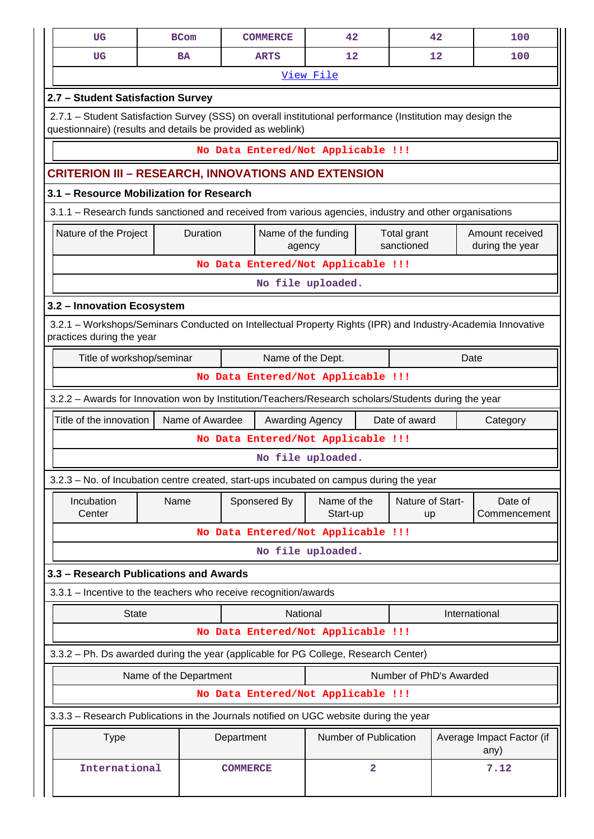| UG                                                                                                                                                                        |      | <b>BCom</b>            | <b>COMMERCE</b>                    | 42                            |   |                           | 42            | 100                                |  |
|---------------------------------------------------------------------------------------------------------------------------------------------------------------------------|------|------------------------|------------------------------------|-------------------------------|---|---------------------------|---------------|------------------------------------|--|
| UG                                                                                                                                                                        |      | <b>BA</b>              | <b>ARTS</b>                        | 12                            |   |                           | 12            | 100                                |  |
|                                                                                                                                                                           |      |                        |                                    | View File                     |   |                           |               |                                    |  |
| 2.7 - Student Satisfaction Survey                                                                                                                                         |      |                        |                                    |                               |   |                           |               |                                    |  |
| 2.7.1 – Student Satisfaction Survey (SSS) on overall institutional performance (Institution may design the<br>questionnaire) (results and details be provided as weblink) |      |                        |                                    |                               |   |                           |               |                                    |  |
|                                                                                                                                                                           |      |                        | No Data Entered/Not Applicable !!! |                               |   |                           |               |                                    |  |
| CRITERION III – RESEARCH, INNOVATIONS AND EXTENSION                                                                                                                       |      |                        |                                    |                               |   |                           |               |                                    |  |
| 3.1 - Resource Mobilization for Research                                                                                                                                  |      |                        |                                    |                               |   |                           |               |                                    |  |
| 3.1.1 – Research funds sanctioned and received from various agencies, industry and other organisations                                                                    |      |                        |                                    |                               |   |                           |               |                                    |  |
| Nature of the Project                                                                                                                                                     |      | Duration               |                                    | Name of the funding<br>agency |   | Total grant<br>sanctioned |               | Amount received<br>during the year |  |
|                                                                                                                                                                           |      |                        | No Data Entered/Not Applicable !!! |                               |   |                           |               |                                    |  |
|                                                                                                                                                                           |      |                        |                                    | No file uploaded.             |   |                           |               |                                    |  |
| 3.2 - Innovation Ecosystem                                                                                                                                                |      |                        |                                    |                               |   |                           |               |                                    |  |
| 3.2.1 – Workshops/Seminars Conducted on Intellectual Property Rights (IPR) and Industry-Academia Innovative<br>practices during the year                                  |      |                        |                                    |                               |   |                           |               |                                    |  |
| Title of workshop/seminar<br>Name of the Dept.<br>Date                                                                                                                    |      |                        |                                    |                               |   |                           |               |                                    |  |
| No Data Entered/Not Applicable !!!                                                                                                                                        |      |                        |                                    |                               |   |                           |               |                                    |  |
| 3.2.2 - Awards for Innovation won by Institution/Teachers/Research scholars/Students during the year                                                                      |      |                        |                                    |                               |   |                           |               |                                    |  |
| Title of the innovation                                                                                                                                                   |      | Name of Awardee        |                                    | Awarding Agency               |   | Date of award             |               | Category                           |  |
|                                                                                                                                                                           |      |                        | No Data Entered/Not Applicable !!! |                               |   |                           |               |                                    |  |
|                                                                                                                                                                           |      |                        |                                    | No file uploaded.             |   |                           |               |                                    |  |
| 3.2.3 - No. of Incubation centre created, start-ups incubated on campus during the year                                                                                   |      |                        |                                    |                               |   |                           |               |                                    |  |
| Incubation<br>Center                                                                                                                                                      | Name |                        | Sponsered By                       | Name of the<br>Start-up       |   | Nature of Start-<br>up    |               | Date of<br>Commencement            |  |
|                                                                                                                                                                           |      |                        | No Data Entered/Not Applicable !!! |                               |   |                           |               |                                    |  |
|                                                                                                                                                                           |      |                        |                                    | No file uploaded.             |   |                           |               |                                    |  |
| 3.3 - Research Publications and Awards                                                                                                                                    |      |                        |                                    |                               |   |                           |               |                                    |  |
| 3.3.1 - Incentive to the teachers who receive recognition/awards                                                                                                          |      |                        |                                    |                               |   |                           |               |                                    |  |
| <b>State</b>                                                                                                                                                              |      |                        |                                    | National                      |   |                           | International |                                    |  |
|                                                                                                                                                                           |      |                        | No Data Entered/Not Applicable !!! |                               |   |                           |               |                                    |  |
| 3.3.2 - Ph. Ds awarded during the year (applicable for PG College, Research Center)                                                                                       |      |                        |                                    |                               |   |                           |               |                                    |  |
|                                                                                                                                                                           |      | Name of the Department |                                    |                               |   | Number of PhD's Awarded   |               |                                    |  |
|                                                                                                                                                                           |      |                        | No Data Entered/Not Applicable !!! |                               |   |                           |               |                                    |  |
| 3.3.3 – Research Publications in the Journals notified on UGC website during the year                                                                                     |      |                        |                                    |                               |   |                           |               |                                    |  |
| <b>Type</b>                                                                                                                                                               |      |                        | Department                         | Number of Publication         |   |                           |               | Average Impact Factor (if<br>any)  |  |
| International                                                                                                                                                             |      |                        | <b>COMMERCE</b>                    |                               | 2 |                           |               | 7.12                               |  |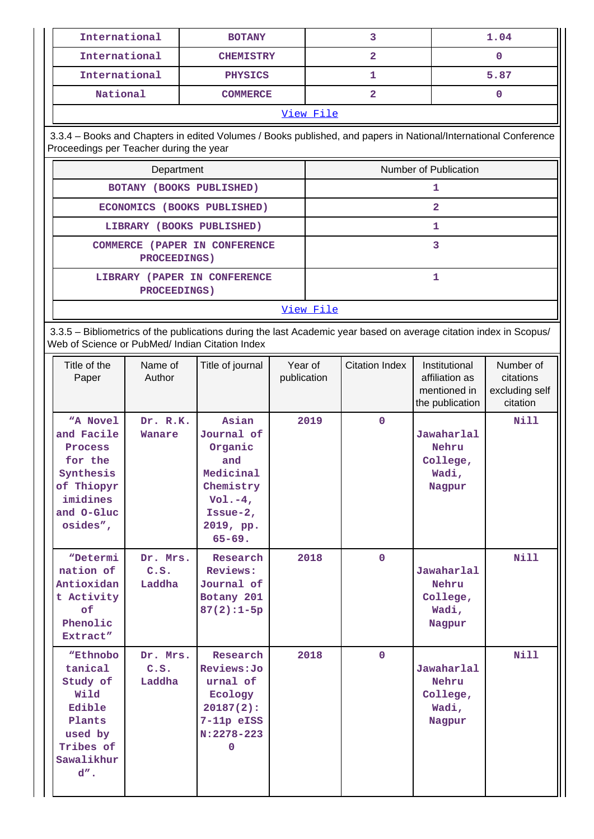| International                                                                                                                                                         |                                                          | <b>BOTANY</b>                                                                                                                                    |                        |                       | 3                            |                                                                                                | 1.04                                                 |  |
|-----------------------------------------------------------------------------------------------------------------------------------------------------------------------|----------------------------------------------------------|--------------------------------------------------------------------------------------------------------------------------------------------------|------------------------|-----------------------|------------------------------|------------------------------------------------------------------------------------------------|------------------------------------------------------|--|
| International                                                                                                                                                         |                                                          | <b>CHEMISTRY</b>                                                                                                                                 |                        |                       | $\overline{\mathbf{2}}$      |                                                                                                | 0                                                    |  |
| International                                                                                                                                                         |                                                          | <b>PHYSICS</b>                                                                                                                                   |                        |                       | 1                            |                                                                                                | 5.87                                                 |  |
| National                                                                                                                                                              |                                                          | <b>COMMERCE</b>                                                                                                                                  |                        |                       | $\mathbf{2}$                 |                                                                                                | 0                                                    |  |
|                                                                                                                                                                       |                                                          |                                                                                                                                                  |                        | View File             |                              |                                                                                                |                                                      |  |
| Proceedings per Teacher during the year                                                                                                                               |                                                          | 3.3.4 - Books and Chapters in edited Volumes / Books published, and papers in National/International Conference                                  |                        |                       |                              |                                                                                                |                                                      |  |
|                                                                                                                                                                       | Department                                               |                                                                                                                                                  |                        | Number of Publication |                              |                                                                                                |                                                      |  |
|                                                                                                                                                                       | BOTANY (BOOKS PUBLISHED)                                 |                                                                                                                                                  |                        |                       |                              | 1                                                                                              |                                                      |  |
|                                                                                                                                                                       |                                                          | ECONOMICS (BOOKS PUBLISHED)                                                                                                                      |                        |                       |                              | $\overline{\mathbf{2}}$                                                                        |                                                      |  |
|                                                                                                                                                                       | LIBRARY (BOOKS PUBLISHED)                                |                                                                                                                                                  |                        |                       |                              | 1                                                                                              |                                                      |  |
|                                                                                                                                                                       | <b>PROCEEDINGS)</b>                                      | COMMERCE (PAPER IN CONFERENCE                                                                                                                    |                        |                       |                              | 3                                                                                              |                                                      |  |
|                                                                                                                                                                       | PROCEEDINGS)                                             | LIBRARY (PAPER IN CONFERENCE                                                                                                                     |                        |                       |                              | $\mathbf{1}$                                                                                   |                                                      |  |
|                                                                                                                                                                       |                                                          |                                                                                                                                                  |                        | View File             |                              |                                                                                                |                                                      |  |
| 3.3.5 - Bibliometrics of the publications during the last Academic year based on average citation index in Scopus/<br>Web of Science or PubMed/ Indian Citation Index |                                                          |                                                                                                                                                  |                        |                       |                              |                                                                                                |                                                      |  |
| Title of the<br>Paper                                                                                                                                                 | Name of<br>Author                                        | Title of journal                                                                                                                                 | Year of<br>publication |                       | <b>Citation Index</b>        | Institutional<br>affiliation as<br>mentioned in<br>the publication                             | Number of<br>citations<br>excluding self<br>citation |  |
| "A Novel<br>and Facile<br>Process<br>for the<br>Synthesis<br>of Thiopyr<br>imidines<br>and O-Gluc<br>osides",                                                         | Dr. R.K.<br>Wanare                                       | Asian<br>Journal of<br>Organic<br>and<br>Medicinal<br>Chemistry<br>$Vol.-4,$<br>Issue- $2,$<br>2019, pp.<br>$65 - 69.$                           | 2019                   |                       | $\mathbf 0$                  | Jawaharlal<br>Nehru<br>College,<br>Wadi,<br>Nagpur                                             | <b>Nill</b>                                          |  |
| "Determi<br>nation of<br>Antioxidan<br>t Activity<br>of<br>Phenolic<br>Extract"<br>"Ethnobo<br>tanical<br>Study of<br>Wild<br>Edible<br>Plants                        | Dr. Mrs.<br>C.S.<br>Laddha<br>Dr. Mrs.<br>C.S.<br>Laddha | Research<br>Reviews:<br>Journal of<br>Botany 201<br>$87(2):1-5p$<br>Research<br>Reviews: Jo<br>urnal of<br>Ecology<br>$20187(2)$ :<br>7-11p eISS |                        | 2018<br>2018          | $\mathbf{0}$<br>$\mathbf{0}$ | Jawaharlal<br>Nehru<br>College,<br>Wadi,<br>Nagpur<br>Jawaharlal<br>Nehru<br>College,<br>Wadi, | <b>Nill</b><br><b>Nill</b>                           |  |
| used by<br>Tribes of<br>Sawalikhur<br>$d''$ .                                                                                                                         |                                                          | $N: 2278 - 223$<br>$\Omega$                                                                                                                      |                        |                       |                              | Nagpur                                                                                         |                                                      |  |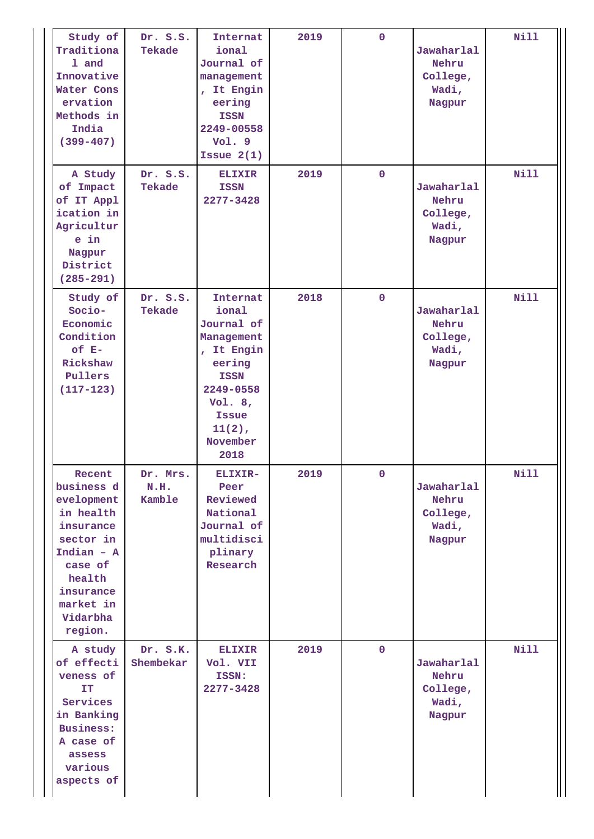| Study of<br>Traditiona<br>1 and<br>Innovative<br>Water Cons<br>ervation<br>Methods in<br>India<br>$(399 - 407)$                                                 | Dr. S.S.<br>Tekade         | Internat<br>ional<br>Journal of<br>management<br>, It Engin<br>eering<br><b>ISSN</b><br>2249-00558<br>Vol. 9<br>Issue $2(1)$                                    | 2019 | $\mathbf 0$  | Jawaharlal<br>Nehru<br>College,<br>Wadi,<br>Nagpur | <b>Nill</b> |
|-----------------------------------------------------------------------------------------------------------------------------------------------------------------|----------------------------|-----------------------------------------------------------------------------------------------------------------------------------------------------------------|------|--------------|----------------------------------------------------|-------------|
| A Study<br>of Impact<br>of IT Appl<br>ication in<br>Agricultur<br>e in<br>Nagpur<br>District<br>$(285 - 291)$                                                   | Dr. S.S.<br>Tekade         | <b>ELIXIR</b><br><b>ISSN</b><br>2277-3428                                                                                                                       | 2019 | $\mathbf 0$  | Jawaharlal<br>Nehru<br>College,<br>Wadi,<br>Nagpur | <b>Nill</b> |
| Study of<br>Socio-<br>Economic<br>Condition<br>of E-<br>Rickshaw<br>Pullers<br>$(117 - 123)$                                                                    | Dr. S.S.<br>Tekade         | Internat<br>ional<br>Journal of<br>Management<br>, It Engin<br>eering<br><b>ISSN</b><br>2249-0558<br>Vol. $8,$<br><b>Issue</b><br>$11(2)$ ,<br>November<br>2018 | 2018 | $\mathbf 0$  | Jawaharlal<br>Nehru<br>College,<br>Wadi,<br>Nagpur | <b>Nill</b> |
| Recent<br>business d<br>evelopment<br>in health<br>insurance<br>sector in<br>Indian $-$ A<br>case of<br>health<br>insurance<br>market in<br>Vidarbha<br>region. | Dr. Mrs.<br>N.H.<br>Kamble | ELIXIR-<br>Peer<br>Reviewed<br>National<br>Journal of<br>multidisci<br>plinary<br>Research                                                                      | 2019 | $\mathbf{O}$ | Jawaharlal<br>Nehru<br>College,<br>Wadi,<br>Nagpur | Nill        |
| A study<br>of effecti<br>veness of<br>IT<br>Services<br>in Banking<br>Business:<br>A case of<br>assess<br>various<br>aspects of                                 | Dr. S.K.<br>Shembekar      | <b>ELIXIR</b><br>Vol. VII<br>ISSN:<br>2277-3428                                                                                                                 | 2019 | $\mathbf{0}$ | Jawaharlal<br>Nehru<br>College,<br>Wadi,<br>Nagpur | <b>Nill</b> |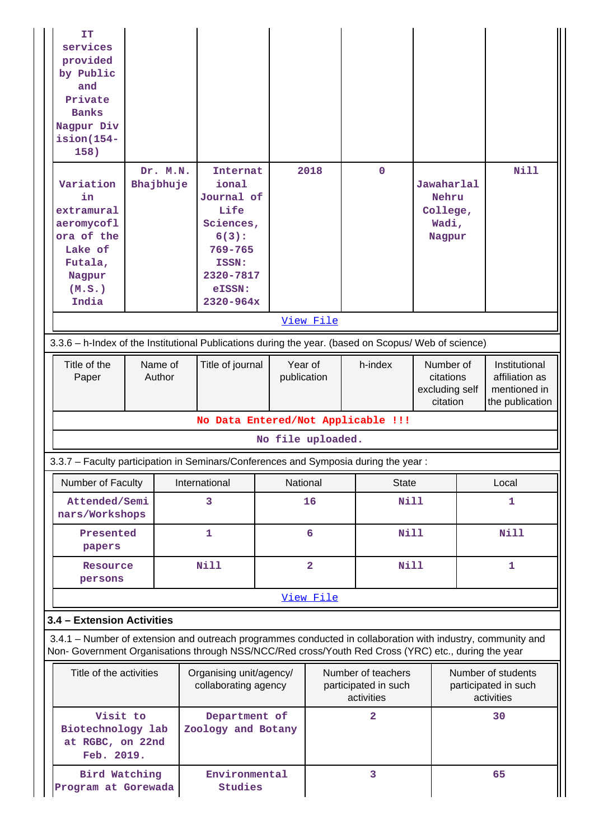| IT<br>services<br>provided<br>by Public<br>and<br>Private<br><b>Banks</b><br>Nagpur Div<br>$ision(154 -$<br>158)<br>Variation<br>in<br>extramural<br>aeromycofl                                                    |                                      | Dr. M.N.<br>Internat<br>Bhajbhuje<br>ional<br>Journal of<br>Life<br>Sciences, |                                                 |                          | 2018           | $\mathbf 0$                                              | Jawaharlal<br>Nehru<br>College,<br>Wadi,             |    | Nill                                                               |
|--------------------------------------------------------------------------------------------------------------------------------------------------------------------------------------------------------------------|--------------------------------------|-------------------------------------------------------------------------------|-------------------------------------------------|--------------------------|----------------|----------------------------------------------------------|------------------------------------------------------|----|--------------------------------------------------------------------|
| ora of the<br>Lake of                                                                                                                                                                                              |                                      |                                                                               | 6(3):<br>$769 - 765$                            |                          |                |                                                          | Nagpur                                               |    |                                                                    |
| Futala,<br>Nagpur<br>(M.S.)<br>India                                                                                                                                                                               |                                      |                                                                               | ISSN:<br>2320-7817<br>eISSN:<br>$2320 - 964x$   |                          |                |                                                          |                                                      |    |                                                                    |
|                                                                                                                                                                                                                    |                                      |                                                                               |                                                 |                          | View File      |                                                          |                                                      |    |                                                                    |
| 3.3.6 - h-Index of the Institutional Publications during the year. (based on Scopus/ Web of science)                                                                                                               |                                      |                                                                               |                                                 |                          |                |                                                          |                                                      |    |                                                                    |
| Title of the<br>Paper                                                                                                                                                                                              | Name of<br>Author                    |                                                                               | Title of journal                                | publication              | Year of        | h-index                                                  | Number of<br>citations<br>excluding self<br>citation |    | Institutional<br>affiliation as<br>mentioned in<br>the publication |
|                                                                                                                                                                                                                    |                                      |                                                                               |                                                 |                          |                | No Data Entered/Not Applicable !!!                       |                                                      |    |                                                                    |
|                                                                                                                                                                                                                    |                                      |                                                                               |                                                 | No file uploaded.        |                |                                                          |                                                      |    |                                                                    |
| 3.3.7 - Faculty participation in Seminars/Conferences and Symposia during the year:                                                                                                                                |                                      |                                                                               |                                                 |                          |                |                                                          |                                                      |    |                                                                    |
| Number of Faculty                                                                                                                                                                                                  |                                      |                                                                               | International                                   |                          | National       | <b>State</b>                                             |                                                      |    | Local                                                              |
| Attended/Semi<br>nars/Workshops                                                                                                                                                                                    |                                      |                                                                               | 3                                               |                          | 16             | <b>Nill</b>                                              |                                                      |    | 1                                                                  |
| Presented<br>papers                                                                                                                                                                                                |                                      |                                                                               | 1                                               |                          | 6              | <b>Nill</b>                                              |                                                      |    | <b>Nill</b>                                                        |
| Resource<br>persons                                                                                                                                                                                                |                                      |                                                                               | <b>Nill</b>                                     |                          | $\overline{2}$ | <b>Nill</b>                                              |                                                      |    | $\mathbf{1}$                                                       |
|                                                                                                                                                                                                                    |                                      |                                                                               |                                                 |                          | View File      |                                                          |                                                      |    |                                                                    |
| 3.4 - Extension Activities                                                                                                                                                                                         |                                      |                                                                               |                                                 |                          |                |                                                          |                                                      |    |                                                                    |
| 3.4.1 – Number of extension and outreach programmes conducted in collaboration with industry, community and<br>Non- Government Organisations through NSS/NCC/Red cross/Youth Red Cross (YRC) etc., during the year |                                      |                                                                               |                                                 |                          |                |                                                          |                                                      |    |                                                                    |
|                                                                                                                                                                                                                    | Title of the activities              |                                                                               | Organising unit/agency/<br>collaborating agency |                          |                | Number of teachers<br>participated in such<br>activities |                                                      |    | Number of students<br>participated in such<br>activities           |
| Visit to<br>Biotechnology lab<br>at RGBC, on 22nd<br>Feb. 2019.                                                                                                                                                    |                                      |                                                                               | Department of<br>Zoology and Botany             |                          |                | $\overline{2}$                                           |                                                      |    | 30                                                                 |
|                                                                                                                                                                                                                    | Bird Watching<br>Program at Gorewada |                                                                               |                                                 | Environmental<br>Studies | 3              |                                                          |                                                      | 65 |                                                                    |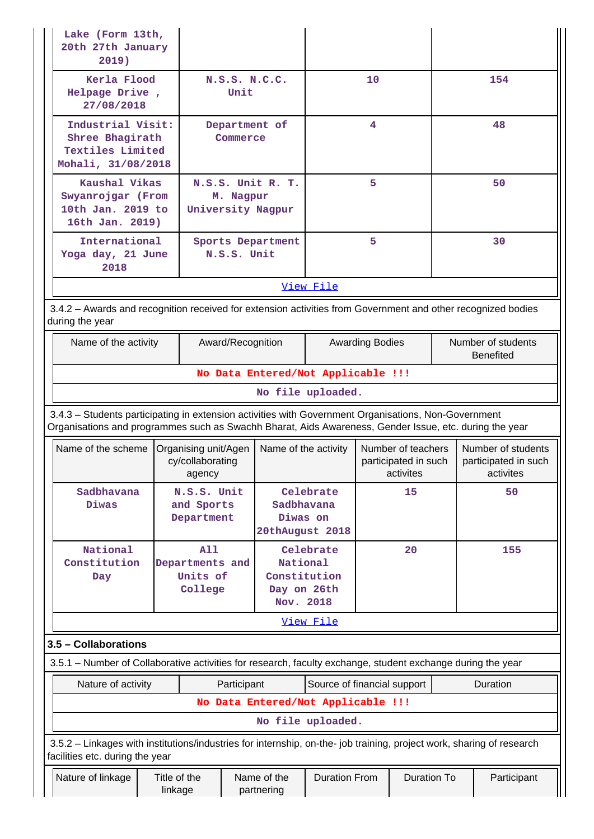| 2019)                                                                                                                                                                                                          | Lake (Form 13th,<br>20th 27th January                                                                        |                                                      |                       |                                                      |                                                         |    |                    |                                                         |             |
|----------------------------------------------------------------------------------------------------------------------------------------------------------------------------------------------------------------|--------------------------------------------------------------------------------------------------------------|------------------------------------------------------|-----------------------|------------------------------------------------------|---------------------------------------------------------|----|--------------------|---------------------------------------------------------|-------------|
| Kerla Flood<br>Helpage Drive,<br>27/08/2018                                                                                                                                                                    |                                                                                                              |                                                      | N.S.S. N.C.C.<br>Unit |                                                      |                                                         | 10 |                    |                                                         | 154         |
| Industrial Visit:<br>Shree Bhagirath<br><b>Textiles Limited</b><br>Mohali, 31/08/2018                                                                                                                          |                                                                                                              |                                                      | Commerce              | Department of                                        |                                                         | 4  |                    |                                                         | 48          |
|                                                                                                                                                                                                                | Kaushal Vikas<br>Swyanrojgar (From<br>M. Nagpur<br>10th Jan. 2019 to<br>University Nagpur<br>16th Jan. 2019) |                                                      |                       | N.S.S. Unit R. T.                                    |                                                         | 5  |                    |                                                         | 50          |
| International<br>Yoga day, 21 June<br>2018                                                                                                                                                                     |                                                                                                              |                                                      | N.S.S. Unit           | Sports Department                                    |                                                         | 5  |                    |                                                         | 30          |
|                                                                                                                                                                                                                |                                                                                                              |                                                      |                       |                                                      | View File                                               |    |                    |                                                         |             |
| 3.4.2 - Awards and recognition received for extension activities from Government and other recognized bodies<br>during the year                                                                                |                                                                                                              |                                                      |                       |                                                      |                                                         |    |                    |                                                         |             |
|                                                                                                                                                                                                                | Name of the activity                                                                                         |                                                      |                       | Award/Recognition                                    | <b>Awarding Bodies</b>                                  |    |                    | Number of students<br><b>Benefited</b>                  |             |
|                                                                                                                                                                                                                |                                                                                                              |                                                      |                       | No Data Entered/Not Applicable !!!                   |                                                         |    |                    |                                                         |             |
|                                                                                                                                                                                                                |                                                                                                              |                                                      |                       |                                                      | No file uploaded.                                       |    |                    |                                                         |             |
| 3.4.3 - Students participating in extension activities with Government Organisations, Non-Government<br>Organisations and programmes such as Swachh Bharat, Aids Awareness, Gender Issue, etc. during the year |                                                                                                              |                                                      |                       |                                                      |                                                         |    |                    |                                                         |             |
| Name of the scheme                                                                                                                                                                                             |                                                                                                              | Organising unit/Agen<br>cy/collaborating<br>agency   |                       | Name of the activity                                 | Number of teachers<br>participated in such<br>activites |    |                    | Number of students<br>participated in such<br>activites |             |
| Sadbhavana<br>Diwas                                                                                                                                                                                            |                                                                                                              | N.S.S. Unit<br>and Sports<br>Department              |                       | Sadbhavana<br>Diwas on<br>20thAugust 2018            | Celebrate                                               |    | 15                 |                                                         | 50          |
| National<br>Constitution<br>Day                                                                                                                                                                                |                                                                                                              | <b>A11</b><br>Departments and<br>Units of<br>College |                       | National<br>Constitution<br>Day on 26th<br>Nov. 2018 | Celebrate                                               |    | 20                 |                                                         | 155         |
|                                                                                                                                                                                                                |                                                                                                              |                                                      |                       |                                                      | View File                                               |    |                    |                                                         |             |
| 3.5 - Collaborations                                                                                                                                                                                           |                                                                                                              |                                                      |                       |                                                      |                                                         |    |                    |                                                         |             |
| 3.5.1 – Number of Collaborative activities for research, faculty exchange, student exchange during the year                                                                                                    |                                                                                                              |                                                      |                       |                                                      |                                                         |    |                    |                                                         |             |
|                                                                                                                                                                                                                | Nature of activity<br>Participant<br>Source of financial support<br>Duration                                 |                                                      |                       |                                                      |                                                         |    |                    |                                                         |             |
|                                                                                                                                                                                                                |                                                                                                              |                                                      |                       | No Data Entered/Not Applicable !!!                   |                                                         |    |                    |                                                         |             |
|                                                                                                                                                                                                                |                                                                                                              |                                                      |                       |                                                      | No file uploaded.                                       |    |                    |                                                         |             |
| 3.5.2 - Linkages with institutions/industries for internship, on-the- job training, project work, sharing of research<br>facilities etc. during the year                                                       |                                                                                                              |                                                      |                       |                                                      |                                                         |    |                    |                                                         |             |
| Nature of linkage                                                                                                                                                                                              | Title of the<br>linkage                                                                                      |                                                      |                       | Name of the<br>partnering                            | <b>Duration From</b>                                    |    | <b>Duration To</b> |                                                         | Participant |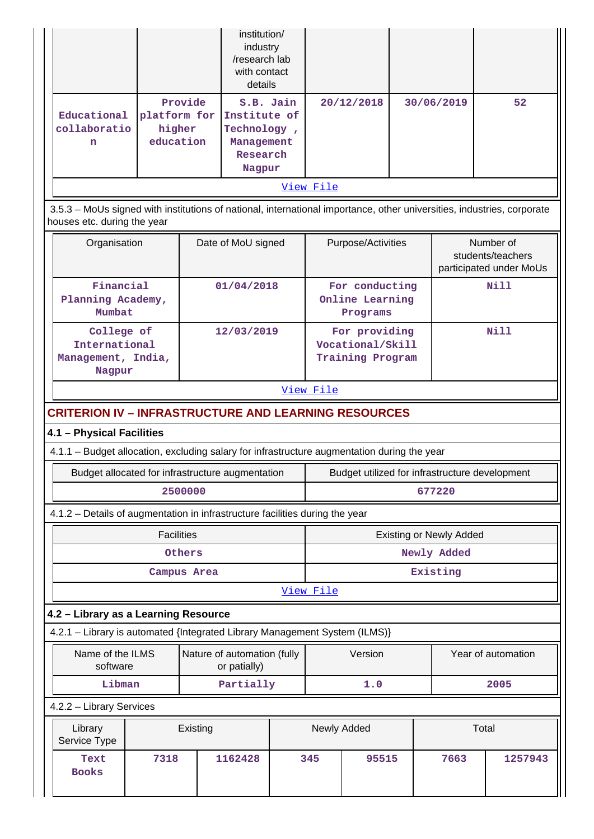|                                                                                             |                                                                                                                                                       |             | institution/<br>industry<br>/research lab<br>with contact<br>details         |           |                                                       |                                               |      |                                |                                                           |
|---------------------------------------------------------------------------------------------|-------------------------------------------------------------------------------------------------------------------------------------------------------|-------------|------------------------------------------------------------------------------|-----------|-------------------------------------------------------|-----------------------------------------------|------|--------------------------------|-----------------------------------------------------------|
| Educational<br>collaboratio<br>n                                                            | platform for<br>higher<br>education                                                                                                                   | Provide     | S.B. Jain<br>Institute of<br>Technology,<br>Management<br>Research<br>Nagpur |           |                                                       | 20/12/2018                                    |      | 30/06/2019                     | 52                                                        |
|                                                                                             |                                                                                                                                                       |             |                                                                              |           | View File                                             |                                               |      |                                |                                                           |
|                                                                                             | 3.5.3 - MoUs signed with institutions of national, international importance, other universities, industries, corporate<br>houses etc. during the year |             |                                                                              |           |                                                       |                                               |      |                                |                                                           |
| Organisation                                                                                |                                                                                                                                                       |             | Date of MoU signed                                                           |           |                                                       | Purpose/Activities                            |      |                                | Number of<br>students/teachers<br>participated under MoUs |
| Financial<br>Planning Academy,<br>Mumbat                                                    |                                                                                                                                                       |             | 01/04/2018                                                                   |           |                                                       | For conducting<br>Online Learning<br>Programs |      |                                | Nill                                                      |
|                                                                                             | College of<br>International<br>Management, India,<br>Nagpur                                                                                           |             | 12/03/2019                                                                   |           | For providing<br>Vocational/Skill<br>Training Program |                                               | Nill |                                |                                                           |
|                                                                                             |                                                                                                                                                       |             |                                                                              |           | View File                                             |                                               |      |                                |                                                           |
| <b>CRITERION IV - INFRASTRUCTURE AND LEARNING RESOURCES</b>                                 |                                                                                                                                                       |             |                                                                              |           |                                                       |                                               |      |                                |                                                           |
| 4.1 - Physical Facilities                                                                   |                                                                                                                                                       |             |                                                                              |           |                                                       |                                               |      |                                |                                                           |
| 4.1.1 - Budget allocation, excluding salary for infrastructure augmentation during the year |                                                                                                                                                       |             |                                                                              |           |                                                       |                                               |      |                                |                                                           |
| Budget allocated for infrastructure augmentation                                            |                                                                                                                                                       |             |                                                                              |           |                                                       |                                               |      |                                | Budget utilized for infrastructure development            |
|                                                                                             |                                                                                                                                                       | 2500000     |                                                                              |           | 677220                                                |                                               |      |                                |                                                           |
| 4.1.2 - Details of augmentation in infrastructure facilities during the year                |                                                                                                                                                       |             |                                                                              |           |                                                       |                                               |      |                                |                                                           |
|                                                                                             | <b>Facilities</b>                                                                                                                                     |             |                                                                              |           |                                                       |                                               |      | <b>Existing or Newly Added</b> |                                                           |
|                                                                                             |                                                                                                                                                       | Others      |                                                                              |           | Newly Added                                           |                                               |      |                                |                                                           |
|                                                                                             |                                                                                                                                                       | Campus Area |                                                                              |           |                                                       |                                               |      | Existing                       |                                                           |
|                                                                                             |                                                                                                                                                       |             |                                                                              |           | View File                                             |                                               |      |                                |                                                           |
| 4.2 - Library as a Learning Resource                                                        |                                                                                                                                                       |             |                                                                              |           |                                                       |                                               |      |                                |                                                           |
| 4.2.1 - Library is automated {Integrated Library Management System (ILMS)}                  |                                                                                                                                                       |             |                                                                              |           |                                                       |                                               |      |                                |                                                           |
| Name of the ILMS<br>software                                                                |                                                                                                                                                       |             | Nature of automation (fully<br>or patially)                                  |           |                                                       | Version                                       |      |                                | Year of automation                                        |
|                                                                                             | Libman                                                                                                                                                |             |                                                                              | Partially |                                                       | 1.0                                           |      |                                | 2005                                                      |
| 4.2.2 - Library Services                                                                    |                                                                                                                                                       |             |                                                                              |           |                                                       |                                               |      |                                |                                                           |
| Library<br>Service Type                                                                     |                                                                                                                                                       | Existing    |                                                                              |           |                                                       | Newly Added                                   |      |                                | Total                                                     |
| Text<br><b>Books</b>                                                                        | 7318                                                                                                                                                  |             | 1162428                                                                      |           | 345                                                   | 95515                                         |      | 7663                           | 1257943                                                   |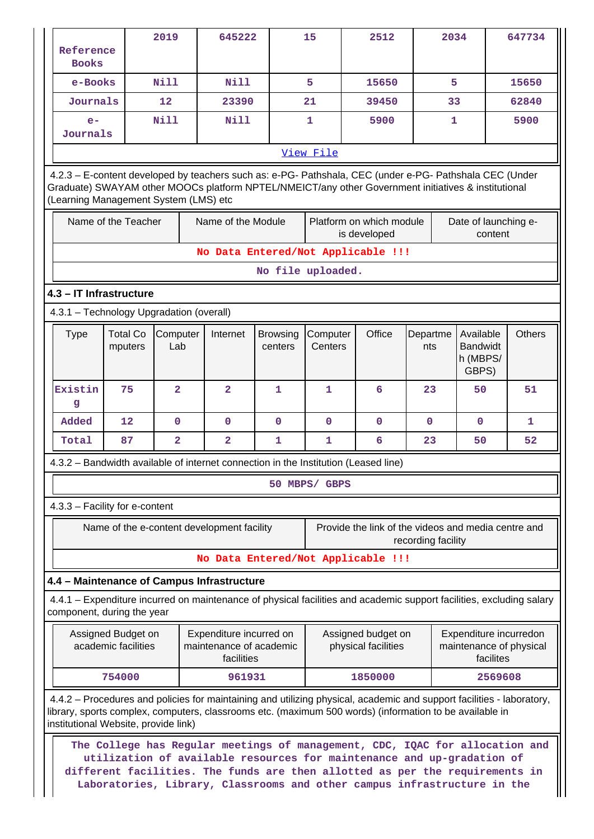|                                                                                                                                                                                                   |                                                                                                                                                                                                                                                         |                            | 2019                    |  | 645222                                     |                            | 15                  | 2512                                                                                                                                                                                                                                                                                                               |                    | 2034         |                                                   | 647734        |
|---------------------------------------------------------------------------------------------------------------------------------------------------------------------------------------------------|---------------------------------------------------------------------------------------------------------------------------------------------------------------------------------------------------------------------------------------------------------|----------------------------|-------------------------|--|--------------------------------------------|----------------------------|---------------------|--------------------------------------------------------------------------------------------------------------------------------------------------------------------------------------------------------------------------------------------------------------------------------------------------------------------|--------------------|--------------|---------------------------------------------------|---------------|
|                                                                                                                                                                                                   | Reference<br><b>Books</b>                                                                                                                                                                                                                               |                            |                         |  |                                            |                            |                     |                                                                                                                                                                                                                                                                                                                    |                    |              |                                                   |               |
|                                                                                                                                                                                                   | e-Books                                                                                                                                                                                                                                                 |                            | <b>Nill</b>             |  | <b>Nill</b>                                |                            | 5                   | 15650                                                                                                                                                                                                                                                                                                              |                    | 5            |                                                   | 15650         |
|                                                                                                                                                                                                   | Journals                                                                                                                                                                                                                                                |                            | 12                      |  | 23390                                      |                            | 21                  | 39450                                                                                                                                                                                                                                                                                                              |                    | 33           |                                                   | 62840         |
|                                                                                                                                                                                                   | $e-$<br>Journals                                                                                                                                                                                                                                        |                            | <b>Nill</b>             |  | <b>Nill</b>                                |                            | $\mathbf{1}$        | 5900                                                                                                                                                                                                                                                                                                               |                    | $\mathbf{1}$ |                                                   | 5900          |
|                                                                                                                                                                                                   |                                                                                                                                                                                                                                                         |                            |                         |  |                                            |                            | View File           |                                                                                                                                                                                                                                                                                                                    |                    |              |                                                   |               |
|                                                                                                                                                                                                   | 4.2.3 - E-content developed by teachers such as: e-PG- Pathshala, CEC (under e-PG- Pathshala CEC (Under<br>Graduate) SWAYAM other MOOCs platform NPTEL/NMEICT/any other Government initiatives & institutional<br>(Learning Management System (LMS) etc |                            |                         |  |                                            |                            |                     |                                                                                                                                                                                                                                                                                                                    |                    |              |                                                   |               |
|                                                                                                                                                                                                   | Name of the Teacher<br>Name of the Module<br>Platform on which module<br>Date of launching e-<br>is developed<br>content                                                                                                                                |                            |                         |  |                                            |                            |                     |                                                                                                                                                                                                                                                                                                                    |                    |              |                                                   |               |
|                                                                                                                                                                                                   |                                                                                                                                                                                                                                                         |                            |                         |  |                                            |                            |                     | No Data Entered/Not Applicable !!!                                                                                                                                                                                                                                                                                 |                    |              |                                                   |               |
|                                                                                                                                                                                                   |                                                                                                                                                                                                                                                         |                            |                         |  |                                            | No file uploaded.          |                     |                                                                                                                                                                                                                                                                                                                    |                    |              |                                                   |               |
|                                                                                                                                                                                                   | 4.3 - IT Infrastructure                                                                                                                                                                                                                                 |                            |                         |  |                                            |                            |                     |                                                                                                                                                                                                                                                                                                                    |                    |              |                                                   |               |
|                                                                                                                                                                                                   | 4.3.1 - Technology Upgradation (overall)                                                                                                                                                                                                                |                            |                         |  |                                            |                            |                     |                                                                                                                                                                                                                                                                                                                    |                    |              |                                                   |               |
|                                                                                                                                                                                                   | <b>Type</b>                                                                                                                                                                                                                                             | <b>Total Co</b><br>mputers | Computer<br>Lab         |  | Internet                                   | <b>Browsing</b><br>centers | Computer<br>Centers | Office                                                                                                                                                                                                                                                                                                             | Departme<br>nts    |              | Available<br><b>Bandwidt</b><br>h (MBPS/<br>GBPS) | <b>Others</b> |
|                                                                                                                                                                                                   | Existin<br>g                                                                                                                                                                                                                                            | 75                         | $\overline{a}$          |  | $\overline{a}$                             | $\mathbf{1}$               | $\mathbf 1$         | 6                                                                                                                                                                                                                                                                                                                  | 23                 |              | 50                                                | 51            |
|                                                                                                                                                                                                   | Added                                                                                                                                                                                                                                                   | 12                         | $\mathbf 0$             |  | $\mathbf 0$                                | $\mathbf 0$                | $\mathbf 0$         | $\mathbf 0$                                                                                                                                                                                                                                                                                                        | $\mathbf 0$        |              | 0                                                 | 1             |
|                                                                                                                                                                                                   | Total                                                                                                                                                                                                                                                   | 87                         | $\overline{\mathbf{2}}$ |  | $\overline{\mathbf{2}}$                    | 1                          | $\mathbf{1}$        | 6                                                                                                                                                                                                                                                                                                                  | 23                 |              | 50                                                | 52            |
|                                                                                                                                                                                                   |                                                                                                                                                                                                                                                         |                            |                         |  |                                            |                            |                     | 4.3.2 – Bandwidth available of internet connection in the Institution (Leased line)                                                                                                                                                                                                                                |                    |              |                                                   |               |
|                                                                                                                                                                                                   |                                                                                                                                                                                                                                                         |                            |                         |  |                                            |                            | 50 MBPS/ GBPS       |                                                                                                                                                                                                                                                                                                                    |                    |              |                                                   |               |
|                                                                                                                                                                                                   | 4.3.3 - Facility for e-content                                                                                                                                                                                                                          |                            |                         |  |                                            |                            |                     |                                                                                                                                                                                                                                                                                                                    |                    |              |                                                   |               |
|                                                                                                                                                                                                   |                                                                                                                                                                                                                                                         |                            |                         |  | Name of the e-content development facility |                            |                     | Provide the link of the videos and media centre and                                                                                                                                                                                                                                                                | recording facility |              |                                                   |               |
|                                                                                                                                                                                                   |                                                                                                                                                                                                                                                         |                            |                         |  |                                            |                            |                     | No Data Entered/Not Applicable !!!                                                                                                                                                                                                                                                                                 |                    |              |                                                   |               |
|                                                                                                                                                                                                   | 4.4 - Maintenance of Campus Infrastructure                                                                                                                                                                                                              |                            |                         |  |                                            |                            |                     |                                                                                                                                                                                                                                                                                                                    |                    |              |                                                   |               |
|                                                                                                                                                                                                   | component, during the year                                                                                                                                                                                                                              |                            |                         |  |                                            |                            |                     | 4.4.1 – Expenditure incurred on maintenance of physical facilities and academic support facilities, excluding salary                                                                                                                                                                                               |                    |              |                                                   |               |
| Expenditure incurredon<br>Assigned Budget on<br>Expenditure incurred on<br>Assigned budget on<br>academic facilities<br>maintenance of academic<br>physical facilities<br>maintenance of physical |                                                                                                                                                                                                                                                         |                            |                         |  |                                            |                            |                     |                                                                                                                                                                                                                                                                                                                    |                    |              |                                                   |               |
|                                                                                                                                                                                                   |                                                                                                                                                                                                                                                         |                            |                         |  | facilities                                 |                            |                     |                                                                                                                                                                                                                                                                                                                    |                    |              | facilites                                         |               |
|                                                                                                                                                                                                   |                                                                                                                                                                                                                                                         | 754000                     |                         |  | 961931                                     |                            |                     | 1850000                                                                                                                                                                                                                                                                                                            |                    |              | 2569608                                           |               |
|                                                                                                                                                                                                   | institutional Website, provide link)                                                                                                                                                                                                                    |                            |                         |  |                                            |                            |                     | 4.4.2 – Procedures and policies for maintaining and utilizing physical, academic and support facilities - laboratory,<br>library, sports complex, computers, classrooms etc. (maximum 500 words) (information to be available in                                                                                   |                    |              |                                                   |               |
|                                                                                                                                                                                                   |                                                                                                                                                                                                                                                         |                            |                         |  |                                            |                            |                     | The College has Regular meetings of management, CDC, IQAC for allocation and<br>utilization of available resources for maintenance and up-gradation of<br>different facilities. The funds are then allotted as per the requirements in<br>Laboratories, Library, Classrooms and other campus infrastructure in the |                    |              |                                                   |               |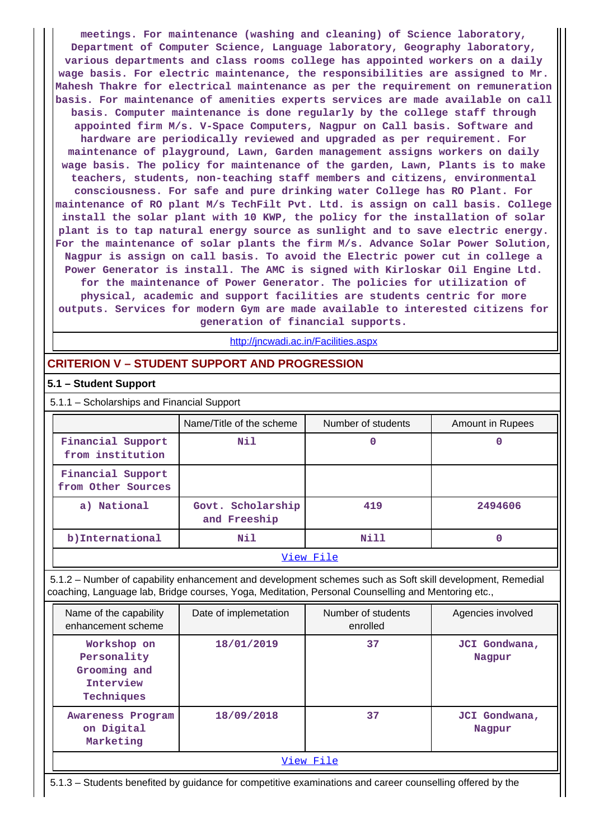**meetings. For maintenance (washing and cleaning) of Science laboratory, Department of Computer Science, Language laboratory, Geography laboratory, various departments and class rooms college has appointed workers on a daily wage basis. For electric maintenance, the responsibilities are assigned to Mr. Mahesh Thakre for electrical maintenance as per the requirement on remuneration basis. For maintenance of amenities experts services are made available on call basis. Computer maintenance is done regularly by the college staff through appointed firm M/s. V-Space Computers, Nagpur on Call basis. Software and hardware are periodically reviewed and upgraded as per requirement. For maintenance of playground, Lawn, Garden management assigns workers on daily wage basis. The policy for maintenance of the garden, Lawn, Plants is to make teachers, students, non-teaching staff members and citizens, environmental consciousness. For safe and pure drinking water College has RO Plant. For maintenance of RO plant M/s TechFilt Pvt. Ltd. is assign on call basis. College install the solar plant with 10 KWP, the policy for the installation of solar plant is to tap natural energy source as sunlight and to save electric energy. For the maintenance of solar plants the firm M/s. Advance Solar Power Solution, Nagpur is assign on call basis. To avoid the Electric power cut in college a Power Generator is install. The AMC is signed with Kirloskar Oil Engine Ltd. for the maintenance of Power Generator. The policies for utilization of physical, academic and support facilities are students centric for more outputs. Services for modern Gym are made available to interested citizens for generation of financial supports.**

<http://jncwadi.ac.in/Facilities.aspx>

## **CRITERION V – STUDENT SUPPORT AND PROGRESSION**

#### **5.1 – Student Support**

5.1.1 – Scholarships and Financial Support

|                                         | Name/Title of the scheme          | Number of students | Amount in Rupees |  |  |
|-----------------------------------------|-----------------------------------|--------------------|------------------|--|--|
| Financial Support<br>from institution   | Nil                               | 0                  |                  |  |  |
| Financial Support<br>from Other Sources |                                   |                    |                  |  |  |
| a) National                             | Govt. Scholarship<br>and Freeship | 419                | 2494606          |  |  |
| b) International                        | Nil                               | Nill               |                  |  |  |
| View File                               |                                   |                    |                  |  |  |

 5.1.2 – Number of capability enhancement and development schemes such as Soft skill development, Remedial coaching, Language lab, Bridge courses, Yoga, Meditation, Personal Counselling and Mentoring etc.,

| Name of the capability<br>enhancement scheme                          | Date of implemetation | Number of students<br>enrolled | Agencies involved       |
|-----------------------------------------------------------------------|-----------------------|--------------------------------|-------------------------|
| Workshop on<br>Personality<br>Grooming and<br>Interview<br>Techniques | 18/01/2019            | 37                             | JCI Gondwana,<br>Nagpur |
| Awareness Program<br>on Digital<br>Marketing                          | 18/09/2018            | 37                             | JCI Gondwana,<br>Nagpur |
|                                                                       |                       | View File                      |                         |

5.1.3 – Students benefited by guidance for competitive examinations and career counselling offered by the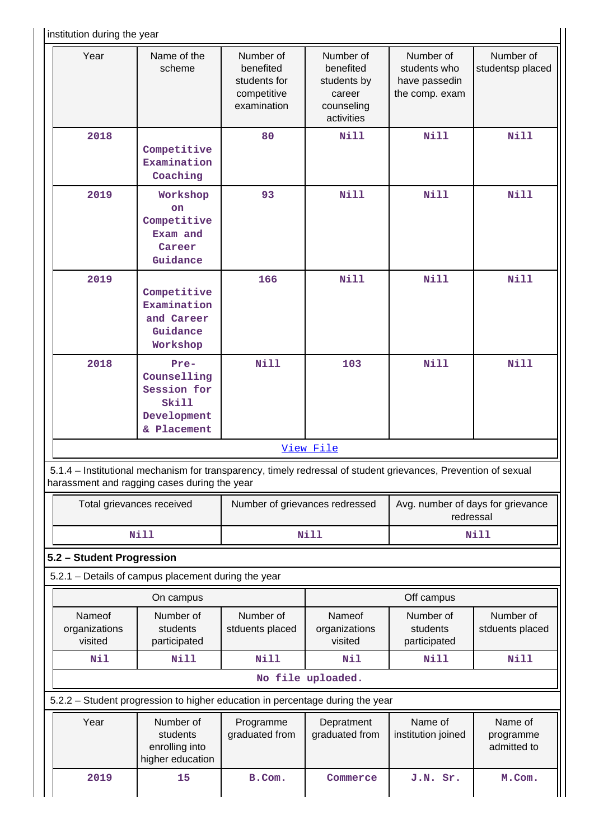I institution during the year

| <b>INSURGION QUILITY THE YEAR</b>                                                                                                                              |                                                                                                               |                                                                      |                                                                             |                                                              |                                     |  |  |
|----------------------------------------------------------------------------------------------------------------------------------------------------------------|---------------------------------------------------------------------------------------------------------------|----------------------------------------------------------------------|-----------------------------------------------------------------------------|--------------------------------------------------------------|-------------------------------------|--|--|
| Year                                                                                                                                                           | Name of the<br>scheme                                                                                         | Number of<br>benefited<br>students for<br>competitive<br>examination | Number of<br>benefited<br>students by<br>career<br>counseling<br>activities | Number of<br>students who<br>have passedin<br>the comp. exam | Number of<br>studentsp placed       |  |  |
| 2018                                                                                                                                                           | Competitive<br>Examination<br>Coaching                                                                        | 80                                                                   | <b>Nill</b>                                                                 | <b>Nill</b>                                                  | <b>Nill</b>                         |  |  |
| 2019                                                                                                                                                           | Workshop<br><b>on</b><br>Competitive<br>Exam and<br>Career<br>Guidance                                        | 93                                                                   | <b>Nill</b>                                                                 | <b>Nill</b>                                                  | Nill                                |  |  |
| 2019                                                                                                                                                           | Competitive<br>Examination<br>and Career<br>Guidance<br>Workshop                                              | 166                                                                  | <b>Nill</b>                                                                 | <b>Nill</b>                                                  | <b>Nill</b>                         |  |  |
| 2018                                                                                                                                                           | Pre-<br>Counselling<br>Session for<br>Skill<br>Development<br>& Placement                                     | <b>Nill</b>                                                          | 103                                                                         | <b>Nill</b>                                                  | <b>Nill</b>                         |  |  |
|                                                                                                                                                                |                                                                                                               |                                                                      | View File                                                                   |                                                              |                                     |  |  |
| 5.1.4 - Institutional mechanism for transparency, timely redressal of student grievances, Prevention of sexual<br>harassment and ragging cases during the year |                                                                                                               |                                                                      |                                                                             |                                                              |                                     |  |  |
|                                                                                                                                                                | Avg. number of days for grievance<br>Total grievances received<br>Number of grievances redressed<br>redressal |                                                                      |                                                                             |                                                              |                                     |  |  |
|                                                                                                                                                                | <b>Nill</b>                                                                                                   |                                                                      | <b>Nill</b>                                                                 |                                                              | <b>Nill</b>                         |  |  |
| 5.2 - Student Progression                                                                                                                                      |                                                                                                               |                                                                      |                                                                             |                                                              |                                     |  |  |
| 5.2.1 - Details of campus placement during the year                                                                                                            |                                                                                                               |                                                                      |                                                                             |                                                              |                                     |  |  |
|                                                                                                                                                                | On campus                                                                                                     |                                                                      |                                                                             | Off campus                                                   |                                     |  |  |
| Nameof<br>organizations<br>visited                                                                                                                             | Number of<br>students<br>participated                                                                         | Number of<br>stduents placed                                         | Nameof<br>organizations<br>visited                                          | Number of<br>students<br>participated                        | Number of<br>stduents placed        |  |  |
| Nil                                                                                                                                                            | <b>Nill</b>                                                                                                   | <b>Nill</b>                                                          | Nil                                                                         | Nill                                                         | <b>Nill</b>                         |  |  |
|                                                                                                                                                                |                                                                                                               |                                                                      | No file uploaded.                                                           |                                                              |                                     |  |  |
| 5.2.2 - Student progression to higher education in percentage during the year                                                                                  |                                                                                                               |                                                                      |                                                                             |                                                              |                                     |  |  |
| Year                                                                                                                                                           | Number of<br>students<br>enrolling into<br>higher education                                                   | Programme<br>graduated from                                          | Depratment<br>graduated from                                                | Name of<br>institution joined                                | Name of<br>programme<br>admitted to |  |  |
| 2019                                                                                                                                                           | 15                                                                                                            | B.Com.                                                               | Commerce                                                                    | J.N. Sr.                                                     | M.Com.                              |  |  |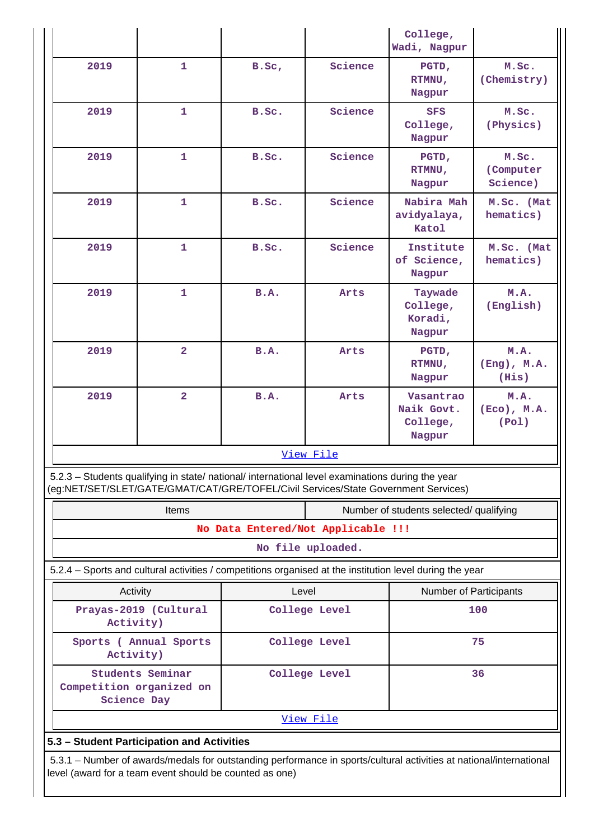|                                                                                                                                                                                        |                                            |                                    |                   | College,<br>Wadi, Nagpur                                                                                 |                                   |  |
|----------------------------------------------------------------------------------------------------------------------------------------------------------------------------------------|--------------------------------------------|------------------------------------|-------------------|----------------------------------------------------------------------------------------------------------|-----------------------------------|--|
| 2019                                                                                                                                                                                   | $\mathbf{1}$                               | B.SC,                              | Science           | PGTD,<br>RTMNU,<br>Nagpur                                                                                | M.Sc.<br>(Chemistry)              |  |
| 2019                                                                                                                                                                                   | $\mathbf{1}$                               | B.Sc.                              | Science           | <b>SFS</b><br>College,<br>Nagpur                                                                         | M.Sc.<br>(Physics)                |  |
| 2019                                                                                                                                                                                   | $\mathbf{1}$                               | B.Sc.                              | Science           | PGTD,<br>RTMNU,<br>Nagpur                                                                                | M.Sc.<br>(Computer<br>Science)    |  |
| 2019                                                                                                                                                                                   | $\mathbf{1}$                               | B.Sc.                              | Science           | Nabira Mah<br>avidyalaya,<br>Katol                                                                       | M.Sc. (Mat<br>hematics)           |  |
| 2019                                                                                                                                                                                   | $\mathbf{1}$                               | B.Sc.                              | Science           | Institute<br>of Science,<br>Nagpur                                                                       | M.Sc. (Mat<br>hematics)           |  |
| 2019                                                                                                                                                                                   | $\mathbf{1}$                               | B.A.                               | Arts              | Taywade<br>College,<br>Koradi,<br>Nagpur                                                                 | M.A.<br>(English)                 |  |
| 2019                                                                                                                                                                                   | $\overline{2}$                             | <b>B.A.</b>                        | Arts              | PGTD,<br>RTMNU,<br>Nagpur                                                                                | M.A.<br>$(Eng)$ , $M.A.$<br>(His) |  |
| 2019                                                                                                                                                                                   | $\overline{2}$                             | <b>B.A.</b>                        | Arts              | Vasantrao<br>Naik Govt.<br>College,<br>Nagpur                                                            | M.A.<br>$(ECO)$ , $M.A.$<br>(Pol) |  |
|                                                                                                                                                                                        |                                            |                                    | View File         |                                                                                                          |                                   |  |
| 5.2.3 – Students qualifying in state/ national/ international level examinations during the year<br>(eg:NET/SET/SLET/GATE/GMAT/CAT/GRE/TOFEL/Civil Services/State Government Services) |                                            |                                    |                   |                                                                                                          |                                   |  |
| Items<br>Number of students selected/ qualifying                                                                                                                                       |                                            |                                    |                   |                                                                                                          |                                   |  |
|                                                                                                                                                                                        |                                            | No Data Entered/Not Applicable !!! |                   |                                                                                                          |                                   |  |
|                                                                                                                                                                                        |                                            |                                    | No file uploaded. |                                                                                                          |                                   |  |
|                                                                                                                                                                                        |                                            |                                    |                   | 5.2.4 - Sports and cultural activities / competitions organised at the institution level during the year |                                   |  |
| Activity<br>Level<br>Number of Participants<br>Prayas-2019 (Cultural<br>College Level<br>100                                                                                           |                                            |                                    |                   |                                                                                                          |                                   |  |
| Activity)<br>Sports ( Annual Sports<br>College Level<br>75                                                                                                                             |                                            |                                    |                   |                                                                                                          |                                   |  |
| Activity)                                                                                                                                                                              | Students Seminar                           |                                    | College Level     |                                                                                                          | 36                                |  |
| Competition organized on<br><b>Science Day</b>                                                                                                                                         |                                            |                                    |                   |                                                                                                          |                                   |  |
| View File                                                                                                                                                                              |                                            |                                    |                   |                                                                                                          |                                   |  |
|                                                                                                                                                                                        | 5.3 - Student Participation and Activities |                                    |                   |                                                                                                          |                                   |  |
| 5.3.1 - Number of awards/medals for outstanding performance in sports/cultural activities at national/international<br>level (award for a team event should be counted as one)         |                                            |                                    |                   |                                                                                                          |                                   |  |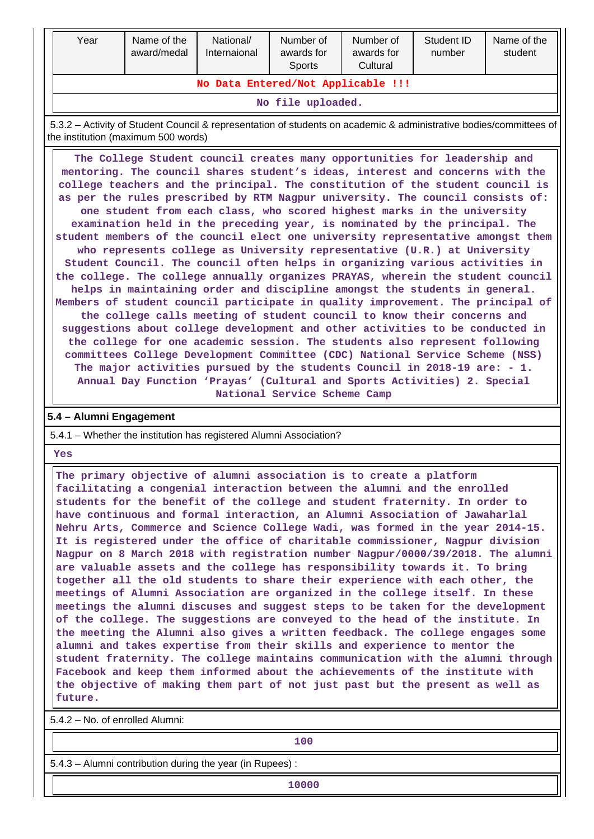| Year                               | Name of the<br>award/medal | National/<br>Internaional | Number of<br>awards for<br><b>Sports</b> | Number of<br>awards for<br>Cultural | Student ID<br>number | Name of the<br>student |
|------------------------------------|----------------------------|---------------------------|------------------------------------------|-------------------------------------|----------------------|------------------------|
| No Data Entered/Not Applicable !!! |                            |                           |                                          |                                     |                      |                        |
| No file uploaded.                  |                            |                           |                                          |                                     |                      |                        |

 5.3.2 – Activity of Student Council & representation of students on academic & administrative bodies/committees of the institution (maximum 500 words)

 **The College Student council creates many opportunities for leadership and mentoring. The council shares student's ideas, interest and concerns with the college teachers and the principal. The constitution of the student council is as per the rules prescribed by RTM Nagpur university. The council consists of: one student from each class, who scored highest marks in the university examination held in the preceding year, is nominated by the principal. The student members of the council elect one university representative amongst them who represents college as University representative (U.R.) at University Student Council. The council often helps in organizing various activities in the college. The college annually organizes PRAYAS, wherein the student council helps in maintaining order and discipline amongst the students in general. Members of student council participate in quality improvement. The principal of the college calls meeting of student council to know their concerns and suggestions about college development and other activities to be conducted in the college for one academic session. The students also represent following committees College Development Committee (CDC) National Service Scheme (NSS) The major activities pursued by the students Council in 2018-19 are: - 1. Annual Day Function 'Prayas' (Cultural and Sports Activities) 2. Special National Service Scheme Camp**

### **5.4 – Alumni Engagement**

5.4.1 – Whether the institution has registered Alumni Association?

 **Yes**

 **The primary objective of alumni association is to create a platform facilitating a congenial interaction between the alumni and the enrolled students for the benefit of the college and student fraternity. In order to have continuous and formal interaction, an Alumni Association of Jawaharlal Nehru Arts, Commerce and Science College Wadi, was formed in the year 2014-15. It is registered under the office of charitable commissioner, Nagpur division Nagpur on 8 March 2018 with registration number Nagpur/0000/39/2018. The alumni are valuable assets and the college has responsibility towards it. To bring together all the old students to share their experience with each other, the meetings of Alumni Association are organized in the college itself. In these meetings the alumni discuses and suggest steps to be taken for the development of the college. The suggestions are conveyed to the head of the institute. In the meeting the Alumni also gives a written feedback. The college engages some alumni and takes expertise from their skills and experience to mentor the student fraternity. The college maintains communication with the alumni through Facebook and keep them informed about the achievements of the institute with the objective of making them part of not just past but the present as well as future.**

5.4.2 – No. of enrolled Alumni:

**100**

5.4.3 – Alumni contribution during the year (in Rupees) :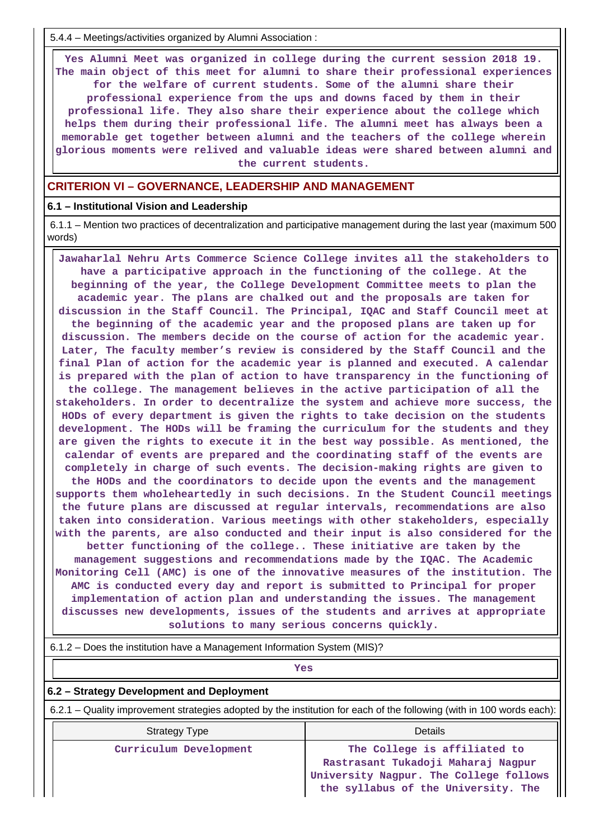5.4.4 – Meetings/activities organized by Alumni Association :

 **Yes Alumni Meet was organized in college during the current session 2018 19. The main object of this meet for alumni to share their professional experiences for the welfare of current students. Some of the alumni share their professional experience from the ups and downs faced by them in their professional life. They also share their experience about the college which helps them during their professional life. The alumni meet has always been a memorable get together between alumni and the teachers of the college wherein glorious moments were relived and valuable ideas were shared between alumni and the current students.**

#### **CRITERION VI – GOVERNANCE, LEADERSHIP AND MANAGEMENT**

#### **6.1 – Institutional Vision and Leadership**

 6.1.1 – Mention two practices of decentralization and participative management during the last year (maximum 500 words)

 **Jawaharlal Nehru Arts Commerce Science College invites all the stakeholders to have a participative approach in the functioning of the college. At the beginning of the year, the College Development Committee meets to plan the academic year. The plans are chalked out and the proposals are taken for discussion in the Staff Council. The Principal, IQAC and Staff Council meet at the beginning of the academic year and the proposed plans are taken up for discussion. The members decide on the course of action for the academic year. Later, The faculty member's review is considered by the Staff Council and the final Plan of action for the academic year is planned and executed. A calendar is prepared with the plan of action to have transparency in the functioning of the college. The management believes in the active participation of all the stakeholders. In order to decentralize the system and achieve more success, the HODs of every department is given the rights to take decision on the students development. The HODs will be framing the curriculum for the students and they are given the rights to execute it in the best way possible. As mentioned, the calendar of events are prepared and the coordinating staff of the events are completely in charge of such events. The decision-making rights are given to the HODs and the coordinators to decide upon the events and the management supports them wholeheartedly in such decisions. In the Student Council meetings the future plans are discussed at regular intervals, recommendations are also taken into consideration. Various meetings with other stakeholders, especially with the parents, are also conducted and their input is also considered for the better functioning of the college.. These initiative are taken by the management suggestions and recommendations made by the IQAC. The Academic Monitoring Cell (AMC) is one of the innovative measures of the institution. The AMC is conducted every day and report is submitted to Principal for proper implementation of action plan and understanding the issues. The management discusses new developments, issues of the students and arrives at appropriate solutions to many serious concerns quickly.**

# *Yes*

### **6.2 – Strategy Development and Deployment**

6.2.1 – Quality improvement strategies adopted by the institution for each of the following (with in 100 words each):

| <b>Strategy Type</b>   | Details                                                                                                                                                |
|------------------------|--------------------------------------------------------------------------------------------------------------------------------------------------------|
| Curriculum Development | The College is affiliated to<br>Rastrasant Tukadoji Maharaj Nagpur<br>University Nagpur. The College follows   <br>the syllabus of the University. The |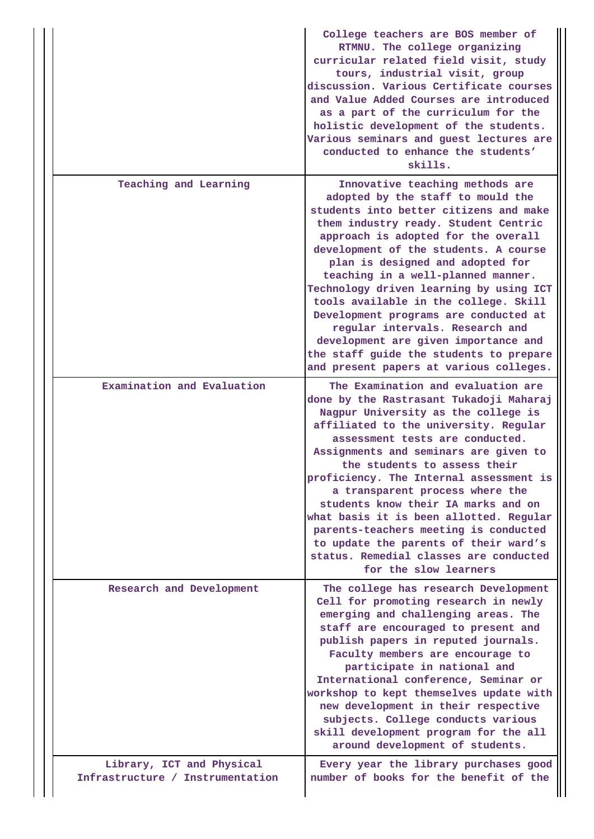|                                                               | College teachers are BOS member of<br>RTMNU. The college organizing<br>curricular related field visit, study<br>tours, industrial visit, group<br>discussion. Various Certificate courses<br>and Value Added Courses are introduced<br>as a part of the curriculum for the<br>holistic development of the students.<br>Various seminars and guest lectures are<br>conducted to enhance the students'<br>skills.                                                                                                                                                                                                |
|---------------------------------------------------------------|----------------------------------------------------------------------------------------------------------------------------------------------------------------------------------------------------------------------------------------------------------------------------------------------------------------------------------------------------------------------------------------------------------------------------------------------------------------------------------------------------------------------------------------------------------------------------------------------------------------|
| Teaching and Learning                                         | Innovative teaching methods are<br>adopted by the staff to mould the<br>students into better citizens and make<br>them industry ready. Student Centric<br>approach is adopted for the overall<br>development of the students. A course<br>plan is designed and adopted for<br>teaching in a well-planned manner.<br>Technology driven learning by using ICT<br>tools available in the college. Skill<br>Development programs are conducted at<br>regular intervals. Research and<br>development are given importance and<br>the staff guide the students to prepare<br>and present papers at various colleges. |
| Examination and Evaluation                                    | The Examination and evaluation are<br>done by the Rastrasant Tukadoji Maharaj<br>Nagpur University as the college is<br>affiliated to the university. Regular<br>assessment tests are conducted.<br>Assignments and seminars are given to<br>the students to assess their<br>proficiency. The Internal assessment is<br>a transparent process where the<br>students know their IA marks and on<br>what basis it is been allotted. Regular<br>parents-teachers meeting is conducted<br>to update the parents of their ward's<br>status. Remedial classes are conducted<br>for the slow learners                 |
| Research and Development                                      | The college has research Development<br>Cell for promoting research in newly<br>emerging and challenging areas. The<br>staff are encouraged to present and<br>publish papers in reputed journals.<br>Faculty members are encourage to<br>participate in national and<br>International conference, Seminar or<br>workshop to kept themselves update with<br>new development in their respective<br>subjects. College conducts various<br>skill development program for the all<br>around development of students.                                                                                               |
| Library, ICT and Physical<br>Infrastructure / Instrumentation | Every year the library purchases good<br>number of books for the benefit of the                                                                                                                                                                                                                                                                                                                                                                                                                                                                                                                                |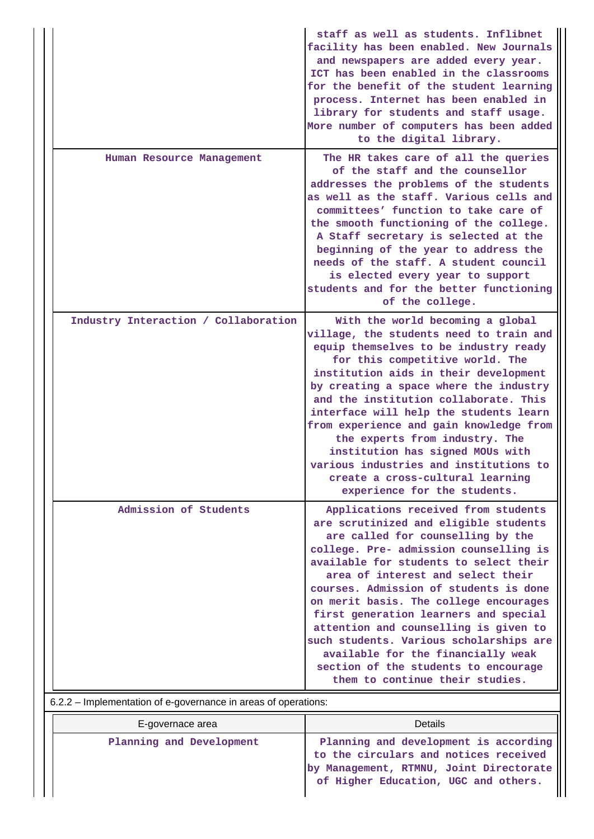| The HR takes care of all the queries<br>Human Resource Management<br>of the staff and the counsellor<br>addresses the problems of the students<br>as well as the staff. Various cells and<br>committees' function to take care of<br>the smooth functioning of the college.<br>A Staff secretary is selected at the<br>beginning of the year to address the<br>needs of the staff. A student council<br>is elected every year to support<br>students and for the better functioning<br>of the college.<br>Industry Interaction / Collaboration<br>With the world becoming a global<br>village, the students need to train and<br>equip themselves to be industry ready<br>for this competitive world. The<br>institution aids in their development<br>by creating a space where the industry<br>and the institution collaborate. This<br>interface will help the students learn<br>from experience and gain knowledge from<br>the experts from industry. The<br>institution has signed MOUs with<br>various industries and institutions to<br>create a cross-cultural learning<br>experience for the students.<br>Admission of Students<br>Applications received from students<br>are scrutinized and eligible students<br>are called for counselling by the<br>college. Pre- admission counselling is<br>available for students to select their<br>area of interest and select their<br>courses. Admission of students is done<br>on merit basis. The college encourages<br>first generation learners and special<br>attention and counselling is given to<br>such students. Various scholarships are<br>available for the financially weak<br>section of the students to encourage<br>them to continue their studies.<br>6.2.2 – Implementation of e-governance in areas of operations: |  | staff as well as students. Inflibnet<br>facility has been enabled. New Journals<br>and newspapers are added every year.<br>ICT has been enabled in the classrooms<br>for the benefit of the student learning<br>process. Internet has been enabled in<br>library for students and staff usage.<br>More number of computers has been added<br>to the digital library. |
|-------------------------------------------------------------------------------------------------------------------------------------------------------------------------------------------------------------------------------------------------------------------------------------------------------------------------------------------------------------------------------------------------------------------------------------------------------------------------------------------------------------------------------------------------------------------------------------------------------------------------------------------------------------------------------------------------------------------------------------------------------------------------------------------------------------------------------------------------------------------------------------------------------------------------------------------------------------------------------------------------------------------------------------------------------------------------------------------------------------------------------------------------------------------------------------------------------------------------------------------------------------------------------------------------------------------------------------------------------------------------------------------------------------------------------------------------------------------------------------------------------------------------------------------------------------------------------------------------------------------------------------------------------------------------------------------------------------------------------------------------------------------------------------------|--|----------------------------------------------------------------------------------------------------------------------------------------------------------------------------------------------------------------------------------------------------------------------------------------------------------------------------------------------------------------------|
|                                                                                                                                                                                                                                                                                                                                                                                                                                                                                                                                                                                                                                                                                                                                                                                                                                                                                                                                                                                                                                                                                                                                                                                                                                                                                                                                                                                                                                                                                                                                                                                                                                                                                                                                                                                           |  |                                                                                                                                                                                                                                                                                                                                                                      |
|                                                                                                                                                                                                                                                                                                                                                                                                                                                                                                                                                                                                                                                                                                                                                                                                                                                                                                                                                                                                                                                                                                                                                                                                                                                                                                                                                                                                                                                                                                                                                                                                                                                                                                                                                                                           |  |                                                                                                                                                                                                                                                                                                                                                                      |
|                                                                                                                                                                                                                                                                                                                                                                                                                                                                                                                                                                                                                                                                                                                                                                                                                                                                                                                                                                                                                                                                                                                                                                                                                                                                                                                                                                                                                                                                                                                                                                                                                                                                                                                                                                                           |  |                                                                                                                                                                                                                                                                                                                                                                      |
|                                                                                                                                                                                                                                                                                                                                                                                                                                                                                                                                                                                                                                                                                                                                                                                                                                                                                                                                                                                                                                                                                                                                                                                                                                                                                                                                                                                                                                                                                                                                                                                                                                                                                                                                                                                           |  |                                                                                                                                                                                                                                                                                                                                                                      |

| E-governace area         | Details                                                                                                                                                           |
|--------------------------|-------------------------------------------------------------------------------------------------------------------------------------------------------------------|
| Planning and Development | Planning and development is according<br>to the circulars and notices received<br>by Management, RTMNU, Joint Directorate<br>of Higher Education, UGC and others. |

 $\overline{\mathbf{I}}$  $\mathbf{I}$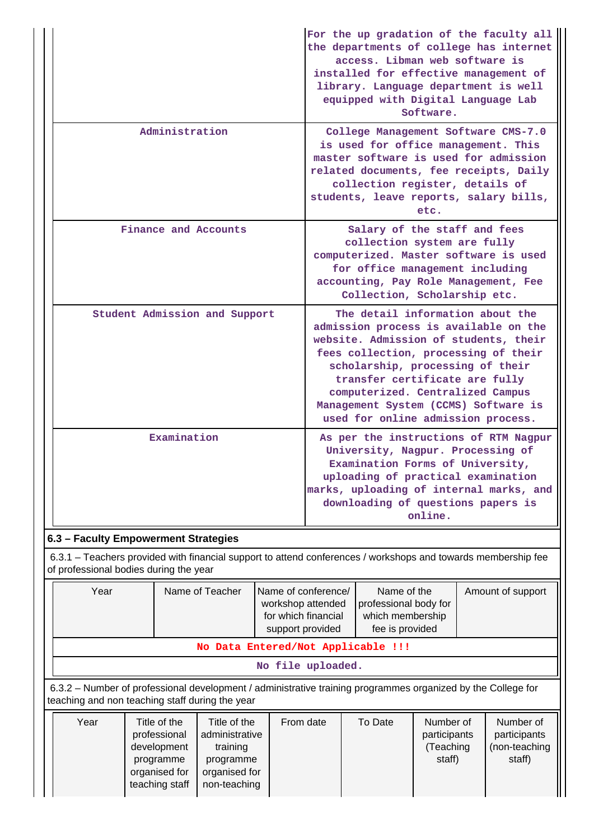|                                      | For the up gradation of the faculty all<br>the departments of college has internet<br>access. Libman web software is<br>installed for effective management of<br>library. Language department is well<br>equipped with Digital Language Lab<br>Software.                                                                                           |
|--------------------------------------|----------------------------------------------------------------------------------------------------------------------------------------------------------------------------------------------------------------------------------------------------------------------------------------------------------------------------------------------------|
| Administration                       | College Management Software CMS-7.0<br>is used for office management. This<br>master software is used for admission<br>related documents, fee receipts, Daily<br>collection register, details of<br>students, leave reports, salary bills,<br>etc.                                                                                                 |
| Finance and Accounts                 | Salary of the staff and fees<br>collection system are fully<br>computerized. Master software is used<br>for office management including<br>accounting, Pay Role Management, Fee<br>Collection, Scholarship etc.                                                                                                                                    |
| Student Admission and Support        | The detail information about the<br>admission process is available on the<br>website. Admission of students, their<br>fees collection, processing of their<br>scholarship, processing of their<br>transfer certificate are fully<br>computerized. Centralized Campus<br>Management System (CCMS) Software is<br>used for online admission process. |
| Examination                          | As per the instructions of RTM Nagpur<br>University, Nagpur. Processing of<br>Examination Forms of University,<br>uploading of practical examination<br>marks, uploading of internal marks, and<br>downloading of questions papers is<br>online.                                                                                                   |
| 6.3 - Faculty Empowerment Strategies |                                                                                                                                                                                                                                                                                                                                                    |

 6.3.1 – Teachers provided with financial support to attend conferences / workshops and towards membership fee of professional bodies during the year

| Year                                                                                                                                                            |                              | Name of Teacher                | Name of conference/<br>workshop attended<br>for which financial | Name of the<br>professional body for<br>which membership |                           | Amount of support         |  |  |
|-----------------------------------------------------------------------------------------------------------------------------------------------------------------|------------------------------|--------------------------------|-----------------------------------------------------------------|----------------------------------------------------------|---------------------------|---------------------------|--|--|
| fee is provided<br>support provided<br>No Data Entered/Not Applicable !!!                                                                                       |                              |                                |                                                                 |                                                          |                           |                           |  |  |
|                                                                                                                                                                 |                              |                                | No file uploaded.                                               |                                                          |                           |                           |  |  |
| 6.3.2 – Number of professional development / administrative training programmes organized by the College for<br>teaching and non teaching staff during the year |                              |                                |                                                                 |                                                          |                           |                           |  |  |
| Year                                                                                                                                                            | Title of the<br>professional | Title of the<br>odministrativa | From date                                                       | To Date                                                  | Number of<br>norticinonto | Number of<br>nosticinonto |  |  |

| Year | Title of the   | ⊺itle of the   | From date | To Date | Number of    | Number of     |
|------|----------------|----------------|-----------|---------|--------------|---------------|
|      | professional   | administrative |           |         | participants | participants  |
|      | development    | training       |           |         | Teaching     | (non-teaching |
|      | programme      | programme      |           |         | staff)       | staff)        |
|      | organised for  | organised for  |           |         |              |               |
|      | teaching staff | non-teaching   |           |         |              |               |
|      |                |                |           |         |              |               |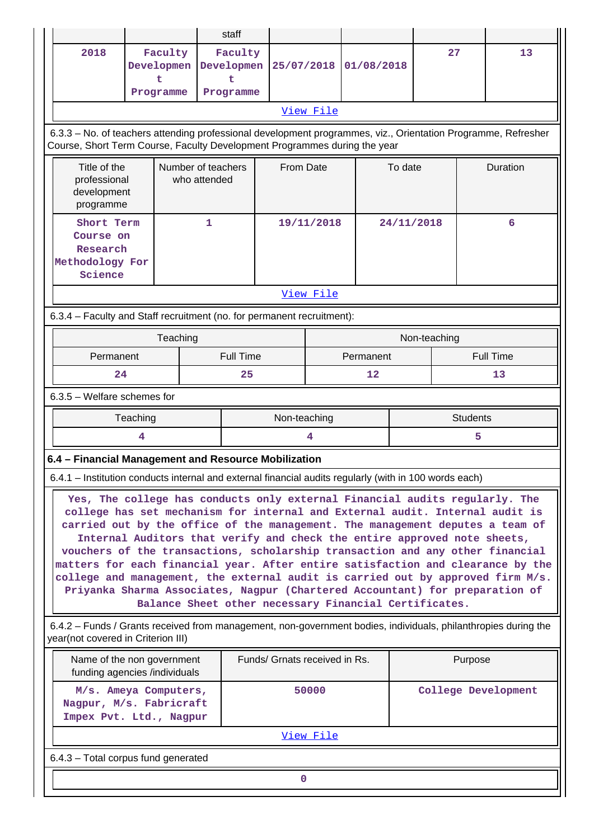|                                                                                                                                                                                                                                                                                                                                                                                                                                                                                                                                                                                     |                                                                          |   | staff                                   |                               |            |                                                       |            |              |                  |          |
|-------------------------------------------------------------------------------------------------------------------------------------------------------------------------------------------------------------------------------------------------------------------------------------------------------------------------------------------------------------------------------------------------------------------------------------------------------------------------------------------------------------------------------------------------------------------------------------|--------------------------------------------------------------------------|---|-----------------------------------------|-------------------------------|------------|-------------------------------------------------------|------------|--------------|------------------|----------|
| 2018                                                                                                                                                                                                                                                                                                                                                                                                                                                                                                                                                                                | Faculty<br>Developmen<br>t<br>Programme                                  |   | Faculty<br>Developmen<br>ŧ<br>Programme | 25/07/2018                    |            | 01/08/2018                                            |            | 27           |                  | 13       |
|                                                                                                                                                                                                                                                                                                                                                                                                                                                                                                                                                                                     |                                                                          |   |                                         |                               | View File  |                                                       |            |              |                  |          |
| 6.3.3 - No. of teachers attending professional development programmes, viz., Orientation Programme, Refresher<br>Course, Short Term Course, Faculty Development Programmes during the year                                                                                                                                                                                                                                                                                                                                                                                          |                                                                          |   |                                         |                               |            |                                                       |            |              |                  |          |
| Title of the<br>Number of teachers<br>professional<br>who attended<br>development<br>programme                                                                                                                                                                                                                                                                                                                                                                                                                                                                                      |                                                                          |   |                                         | From Date                     |            |                                                       | To date    |              |                  | Duration |
| Short Term<br>Course on<br>Research<br>Methodology For<br>Science                                                                                                                                                                                                                                                                                                                                                                                                                                                                                                                   |                                                                          | 1 |                                         |                               | 19/11/2018 |                                                       | 24/11/2018 |              |                  | 6        |
|                                                                                                                                                                                                                                                                                                                                                                                                                                                                                                                                                                                     |                                                                          |   |                                         |                               | View File  |                                                       |            |              |                  |          |
| 6.3.4 - Faculty and Staff recruitment (no. for permanent recruitment):                                                                                                                                                                                                                                                                                                                                                                                                                                                                                                              |                                                                          |   |                                         |                               |            |                                                       |            |              |                  |          |
|                                                                                                                                                                                                                                                                                                                                                                                                                                                                                                                                                                                     | Teaching                                                                 |   |                                         |                               |            |                                                       |            | Non-teaching |                  |          |
| Permanent                                                                                                                                                                                                                                                                                                                                                                                                                                                                                                                                                                           |                                                                          |   | <b>Full Time</b>                        |                               |            | Permanent                                             |            |              | <b>Full Time</b> |          |
| 24                                                                                                                                                                                                                                                                                                                                                                                                                                                                                                                                                                                  |                                                                          |   | 25                                      |                               |            | 12                                                    |            |              |                  | 13       |
| $6.3.5$ – Welfare schemes for                                                                                                                                                                                                                                                                                                                                                                                                                                                                                                                                                       |                                                                          |   |                                         |                               |            |                                                       |            |              |                  |          |
|                                                                                                                                                                                                                                                                                                                                                                                                                                                                                                                                                                                     | Teaching                                                                 |   |                                         | Non-teaching                  |            |                                                       |            |              | <b>Students</b>  |          |
|                                                                                                                                                                                                                                                                                                                                                                                                                                                                                                                                                                                     | 4                                                                        |   |                                         |                               | 4          |                                                       |            |              | 5                |          |
| 6.4 - Financial Management and Resource Mobilization                                                                                                                                                                                                                                                                                                                                                                                                                                                                                                                                |                                                                          |   |                                         |                               |            |                                                       |            |              |                  |          |
| 6.4.1 – Institution conducts internal and external financial audits regularly (with in 100 words each)                                                                                                                                                                                                                                                                                                                                                                                                                                                                              |                                                                          |   |                                         |                               |            |                                                       |            |              |                  |          |
| Yes, The college has conducts only external Financial audits regularly. The<br>college has set mechanism for internal and External audit. Internal audit is<br>carried out by the office of the management. The management deputes a team of<br>vouchers of the transactions, scholarship transaction and any other financial<br>matters for each financial year. After entire satisfaction and clearance by the<br>college and management, the external audit is carried out by approved firm M/s.<br>Priyanka Sharma Associates, Nagpur (Chartered Accountant) for preparation of | Internal Auditors that verify and check the entire approved note sheets, |   |                                         |                               |            | Balance Sheet other necessary Financial Certificates. |            |              |                  |          |
| 6.4.2 – Funds / Grants received from management, non-government bodies, individuals, philanthropies during the<br>year(not covered in Criterion III)                                                                                                                                                                                                                                                                                                                                                                                                                                |                                                                          |   |                                         |                               |            |                                                       |            |              |                  |          |
|                                                                                                                                                                                                                                                                                                                                                                                                                                                                                                                                                                                     | Name of the non government<br>funding agencies /individuals              |   |                                         | Funds/ Grnats received in Rs. |            |                                                       |            |              | Purpose          |          |
| M/s. Ameya Computers,<br>Nagpur, M/s. Fabricraft<br>Impex Pvt. Ltd., Nagpur                                                                                                                                                                                                                                                                                                                                                                                                                                                                                                         |                                                                          |   |                                         | 50000                         |            | College Development                                   |            |              |                  |          |
|                                                                                                                                                                                                                                                                                                                                                                                                                                                                                                                                                                                     |                                                                          |   |                                         |                               | View File  |                                                       |            |              |                  |          |
| 6.4.3 - Total corpus fund generated                                                                                                                                                                                                                                                                                                                                                                                                                                                                                                                                                 |                                                                          |   |                                         |                               |            |                                                       |            |              |                  |          |
|                                                                                                                                                                                                                                                                                                                                                                                                                                                                                                                                                                                     |                                                                          |   |                                         | 0                             |            |                                                       |            |              |                  |          |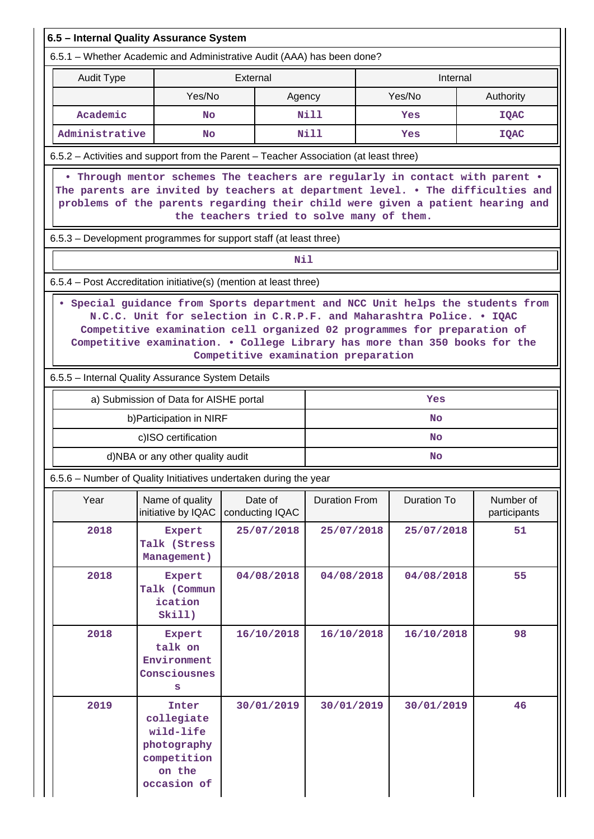|                                                                   | 6.5 - Internal Quality Assurance System                                                 |                                                                        |                                                                                       |                                                                                                                                                                                                                                                   |                           |  |  |
|-------------------------------------------------------------------|-----------------------------------------------------------------------------------------|------------------------------------------------------------------------|---------------------------------------------------------------------------------------|---------------------------------------------------------------------------------------------------------------------------------------------------------------------------------------------------------------------------------------------------|---------------------------|--|--|
|                                                                   |                                                                                         | 6.5.1 - Whether Academic and Administrative Audit (AAA) has been done? |                                                                                       |                                                                                                                                                                                                                                                   |                           |  |  |
| <b>Audit Type</b>                                                 |                                                                                         | External                                                               |                                                                                       | Internal                                                                                                                                                                                                                                          |                           |  |  |
|                                                                   | Yes/No                                                                                  |                                                                        | Agency                                                                                | Yes/No                                                                                                                                                                                                                                            | Authority                 |  |  |
| Academic                                                          | No                                                                                      |                                                                        | Nill                                                                                  | Yes                                                                                                                                                                                                                                               | <b>IQAC</b>               |  |  |
| Administrative                                                    | <b>No</b>                                                                               |                                                                        | Nill                                                                                  | Yes                                                                                                                                                                                                                                               | <b>IQAC</b>               |  |  |
|                                                                   |                                                                                         |                                                                        | 6.5.2 – Activities and support from the Parent – Teacher Association (at least three) |                                                                                                                                                                                                                                                   |                           |  |  |
|                                                                   |                                                                                         |                                                                        | the teachers tried to solve many of them.                                             | . Through mentor schemes The teachers are regularly in contact with parent .<br>The parents are invited by teachers at department level. . The difficulties and<br>problems of the parents regarding their child were given a patient hearing and |                           |  |  |
|                                                                   |                                                                                         | 6.5.3 – Development programmes for support staff (at least three)      |                                                                                       |                                                                                                                                                                                                                                                   |                           |  |  |
|                                                                   |                                                                                         | Nil                                                                    |                                                                                       |                                                                                                                                                                                                                                                   |                           |  |  |
| 6.5.4 – Post Accreditation initiative(s) (mention at least three) |                                                                                         |                                                                        |                                                                                       |                                                                                                                                                                                                                                                   |                           |  |  |
|                                                                   | 6.5.5 - Internal Quality Assurance System Details                                       |                                                                        | Competitive examination preparation                                                   | Competitive examination cell organized 02 programmes for preparation of<br>Competitive examination. . College Library has more than 350 books for the                                                                                             |                           |  |  |
|                                                                   | a) Submission of Data for AISHE portal                                                  |                                                                        |                                                                                       | Yes                                                                                                                                                                                                                                               |                           |  |  |
|                                                                   | b) Participation in NIRF                                                                |                                                                        |                                                                                       | <b>No</b>                                                                                                                                                                                                                                         |                           |  |  |
|                                                                   | c)ISO certification                                                                     |                                                                        |                                                                                       | <b>No</b>                                                                                                                                                                                                                                         |                           |  |  |
|                                                                   | d)NBA or any other quality audit                                                        |                                                                        |                                                                                       | <b>No</b>                                                                                                                                                                                                                                         |                           |  |  |
|                                                                   |                                                                                         | 6.5.6 - Number of Quality Initiatives undertaken during the year       |                                                                                       |                                                                                                                                                                                                                                                   |                           |  |  |
| Year                                                              | Name of quality<br>initiative by IQAC                                                   | Date of<br>conducting IQAC                                             | <b>Duration From</b>                                                                  | <b>Duration To</b>                                                                                                                                                                                                                                | Number of<br>participants |  |  |
| 2018                                                              | Expert<br>Talk (Stress<br>Management)                                                   | 25/07/2018                                                             | 25/07/2018                                                                            | 25/07/2018                                                                                                                                                                                                                                        | 51                        |  |  |
| 2018                                                              | Expert<br>Talk (Commun<br>ication<br>Skil1)                                             | 04/08/2018                                                             | 04/08/2018                                                                            | 04/08/2018                                                                                                                                                                                                                                        | 55                        |  |  |
| 2018                                                              | Expert<br>talk on<br>Environment<br>Consciousnes<br>s                                   | 16/10/2018                                                             | 16/10/2018                                                                            | 16/10/2018                                                                                                                                                                                                                                        | 98                        |  |  |
| 2019                                                              | Inter<br>collegiate<br>wild-life<br>photography<br>competition<br>on the<br>occasion of | 30/01/2019                                                             | 30/01/2019                                                                            | 30/01/2019                                                                                                                                                                                                                                        | 46                        |  |  |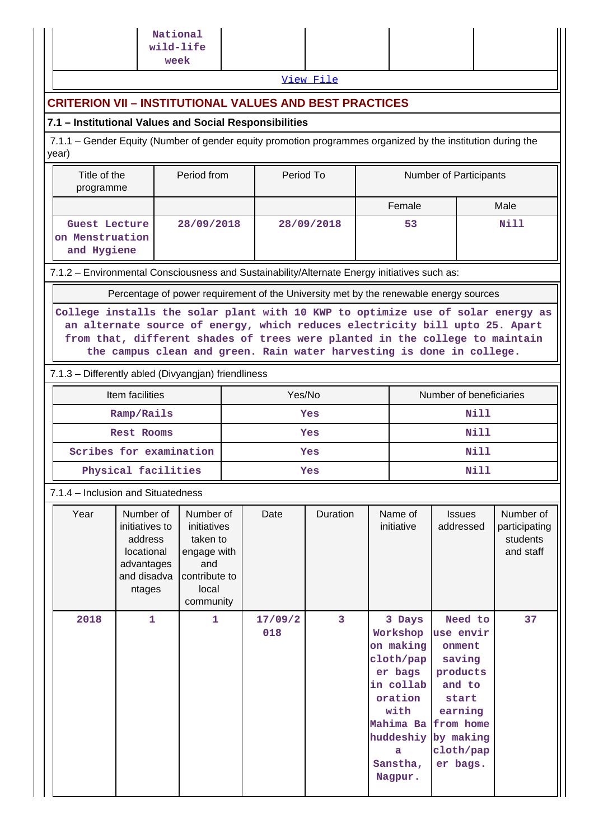|                                                                                                                                                                                                                                                                                                                          |                                                                                             | National<br>wild-life<br>week                                                                     |     |                |            |                               |                                                                                                                     |                                                                                                                                                           |      |                                                     |
|--------------------------------------------------------------------------------------------------------------------------------------------------------------------------------------------------------------------------------------------------------------------------------------------------------------------------|---------------------------------------------------------------------------------------------|---------------------------------------------------------------------------------------------------|-----|----------------|------------|-------------------------------|---------------------------------------------------------------------------------------------------------------------|-----------------------------------------------------------------------------------------------------------------------------------------------------------|------|-----------------------------------------------------|
|                                                                                                                                                                                                                                                                                                                          |                                                                                             |                                                                                                   |     |                | View File  |                               |                                                                                                                     |                                                                                                                                                           |      |                                                     |
| <b>CRITERION VII – INSTITUTIONAL VALUES AND BEST PRACTICES</b>                                                                                                                                                                                                                                                           |                                                                                             |                                                                                                   |     |                |            |                               |                                                                                                                     |                                                                                                                                                           |      |                                                     |
| 7.1 - Institutional Values and Social Responsibilities                                                                                                                                                                                                                                                                   |                                                                                             |                                                                                                   |     |                |            |                               |                                                                                                                     |                                                                                                                                                           |      |                                                     |
| 7.1.1 – Gender Equity (Number of gender equity promotion programmes organized by the institution during the<br>year)                                                                                                                                                                                                     |                                                                                             |                                                                                                   |     |                |            |                               |                                                                                                                     |                                                                                                                                                           |      |                                                     |
| Title of the<br>programme                                                                                                                                                                                                                                                                                                | Period from                                                                                 | Period To                                                                                         |     |                |            | <b>Number of Participants</b> |                                                                                                                     |                                                                                                                                                           |      |                                                     |
|                                                                                                                                                                                                                                                                                                                          |                                                                                             |                                                                                                   |     |                |            |                               | Female                                                                                                              |                                                                                                                                                           | Male |                                                     |
| Guest Lecture<br>on Menstruation<br>and Hygiene                                                                                                                                                                                                                                                                          |                                                                                             | 28/09/2018                                                                                        |     |                | 28/09/2018 |                               | 53                                                                                                                  |                                                                                                                                                           | Nill |                                                     |
| 7.1.2 - Environmental Consciousness and Sustainability/Alternate Energy initiatives such as:                                                                                                                                                                                                                             |                                                                                             |                                                                                                   |     |                |            |                               |                                                                                                                     |                                                                                                                                                           |      |                                                     |
|                                                                                                                                                                                                                                                                                                                          | Percentage of power requirement of the University met by the renewable energy sources       |                                                                                                   |     |                |            |                               |                                                                                                                     |                                                                                                                                                           |      |                                                     |
| College installs the solar plant with 10 KWP to optimize use of solar energy as<br>an alternate source of energy, which reduces electricity bill upto 25. Apart<br>from that, different shades of trees were planted in the college to maintain<br>the campus clean and green. Rain water harvesting is done in college. |                                                                                             |                                                                                                   |     |                |            |                               |                                                                                                                     |                                                                                                                                                           |      |                                                     |
| 7.1.3 - Differently abled (Divyangjan) friendliness                                                                                                                                                                                                                                                                      |                                                                                             |                                                                                                   |     |                |            |                               |                                                                                                                     |                                                                                                                                                           |      |                                                     |
|                                                                                                                                                                                                                                                                                                                          | Item facilities                                                                             |                                                                                                   |     | Yes/No         |            |                               |                                                                                                                     | Number of beneficiaries                                                                                                                                   |      |                                                     |
|                                                                                                                                                                                                                                                                                                                          | Ramp/Rails                                                                                  |                                                                                                   | Yes |                |            |                               | <b>Nill</b>                                                                                                         |                                                                                                                                                           |      |                                                     |
|                                                                                                                                                                                                                                                                                                                          | <b>Rest Rooms</b>                                                                           |                                                                                                   | Yes |                |            |                               | <b>Nill</b>                                                                                                         |                                                                                                                                                           |      |                                                     |
|                                                                                                                                                                                                                                                                                                                          | Scribes for examination                                                                     |                                                                                                   | Yes |                |            |                               | Nill                                                                                                                |                                                                                                                                                           |      |                                                     |
|                                                                                                                                                                                                                                                                                                                          | Physical facilities                                                                         |                                                                                                   |     |                | Yes        |                               |                                                                                                                     | Nill                                                                                                                                                      |      |                                                     |
| 7.1.4 - Inclusion and Situatedness                                                                                                                                                                                                                                                                                       |                                                                                             |                                                                                                   |     |                |            |                               |                                                                                                                     |                                                                                                                                                           |      |                                                     |
| Year                                                                                                                                                                                                                                                                                                                     | Number of<br>initiatives to<br>address<br>locational<br>advantages<br>and disadva<br>ntages | Number of<br>initiatives<br>taken to<br>engage with<br>and<br>contribute to<br>local<br>community |     | Date           | Duration   |                               | Name of<br>initiative                                                                                               | <b>Issues</b><br>addressed                                                                                                                                |      | Number of<br>participating<br>students<br>and staff |
| 2018                                                                                                                                                                                                                                                                                                                     | $\mathbf{1}$                                                                                | $\mathbf{1}$                                                                                      |     | 17/09/2<br>018 | 3          |                               | 3 Days<br>Workshop<br>on making<br>cloth/pap<br>er bags<br>in collab<br>oration<br>with<br>a<br>Sanstha,<br>Nagpur. | Need to<br>use envir<br>onment<br>saving<br>products<br>and to<br>start<br>earning<br>Mahima Ba from home<br>huddeshiy by making<br>cloth/pap<br>er bags. |      | 37                                                  |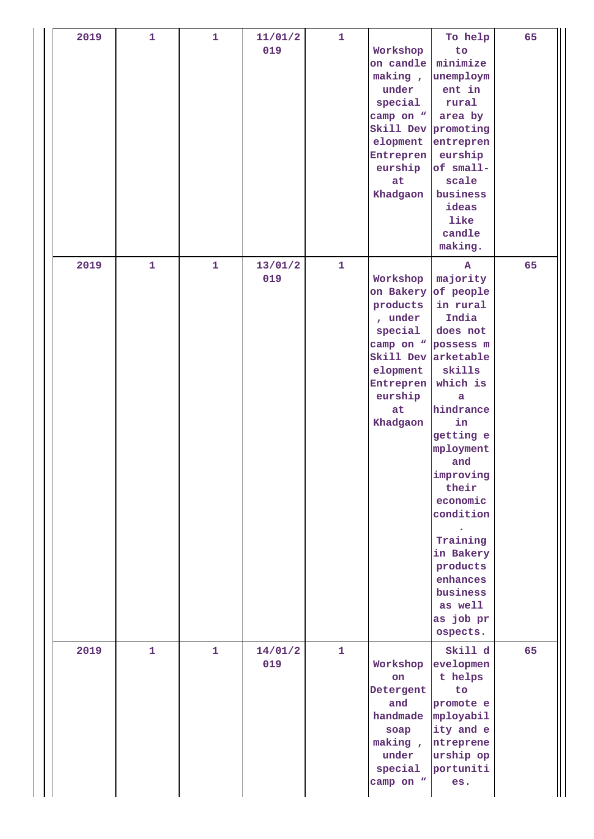| 2019 | 1            | $\mathbf{1}$ | 11/01/2<br>019 | $\mathbf{1}$ | Workshop<br>on candle<br>making,<br>under<br>special<br>camp on "<br>elopment<br>Entrepren<br>eurship<br>at<br>Khadgaon    | To help<br>to<br>minimize<br>unemploym<br>ent in<br>rural<br>area by<br>Skill Dev promoting<br>entrepren<br>eurship<br>of small-<br>scale<br>business<br>ideas<br>like<br>candle<br>making.                                                                                                                                               | 65 |
|------|--------------|--------------|----------------|--------------|----------------------------------------------------------------------------------------------------------------------------|-------------------------------------------------------------------------------------------------------------------------------------------------------------------------------------------------------------------------------------------------------------------------------------------------------------------------------------------|----|
| 2019 | $\mathbf{1}$ | $\mathbf{1}$ | 13/01/2<br>019 | $\mathbf{1}$ | Workshop<br>on Bakery<br>products<br>, under<br>special<br>Skill Dev<br>elopment<br>Entrepren<br>eurship<br>at<br>Khadgaon | $\mathbf{A}$<br>majority<br>of people<br>in rural<br>India<br>does not<br>camp on " possess m<br>arketable<br>skills<br>which is<br>a<br>hindrance<br>in<br>getting e<br>mployment<br>and<br>improving<br>their<br>economic<br>condition<br>Training<br>in Bakery<br>products<br>enhances<br>business<br>as well<br>as job pr<br>ospects. | 65 |
| 2019 | $\mathbf{1}$ | $\mathbf{1}$ | 14/01/2<br>019 | $\mathbf{1}$ | Workshop<br>on<br>Detergent<br>and<br>soap<br>making,<br>under<br>special<br>camp on "                                     | Skill d<br>evelopmen<br>t helps<br>to<br>promote e<br>handmade mployabil<br>ity and e<br>ntreprene<br>urship op<br>portuniti<br>es.                                                                                                                                                                                                       | 65 |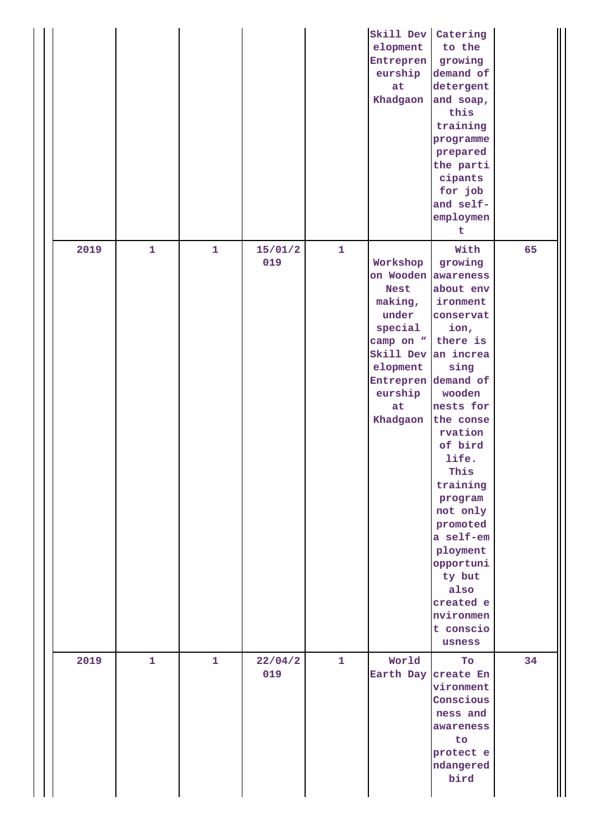|      |              |              |                |              | Skill Dev<br>elopment<br>Entrepren<br>eurship<br>at<br>Khadgaon                                                                                     | Catering<br>to the<br>growing<br>demand of<br>detergent<br>and soap,<br>this<br>training<br>programme<br>prepared<br>the parti<br>cipants<br>for job<br>and self-<br>employmen<br>t                                                                                                                                                                         |    |
|------|--------------|--------------|----------------|--------------|-----------------------------------------------------------------------------------------------------------------------------------------------------|-------------------------------------------------------------------------------------------------------------------------------------------------------------------------------------------------------------------------------------------------------------------------------------------------------------------------------------------------------------|----|
| 2019 | $\mathbf{1}$ | $\mathbf{1}$ | 15/01/2<br>019 | $\mathbf{1}$ | Workshop<br>on Wooden<br><b>Nest</b><br>making,<br>under<br>special<br>camp on "<br>Skill Dev<br>elopment<br>Entrepren<br>eurship<br>at<br>Khadgaon | With<br>growing<br>awareness<br>about env<br>ironment<br>conservat<br>ion,<br>there is<br>an increa<br>sing<br>demand of<br>wooden<br>nests for<br>the conse<br>rvation<br>of bird<br>life.<br>This<br>training<br>program<br>not only<br>promoted<br>a self-em<br>ployment<br>opportuni<br>ty but<br>also<br>created e<br>nvironmen<br>t conscio<br>usness | 65 |
| 2019 | $\mathbf{1}$ | $\mathbf{1}$ | 22/04/2<br>019 | $\mathbf 1$  | World<br>Earth Day                                                                                                                                  | To<br>create En<br>vironment<br>Conscious<br>ness and<br>awareness<br>to<br>protect e<br>ndangered<br>bird                                                                                                                                                                                                                                                  | 34 |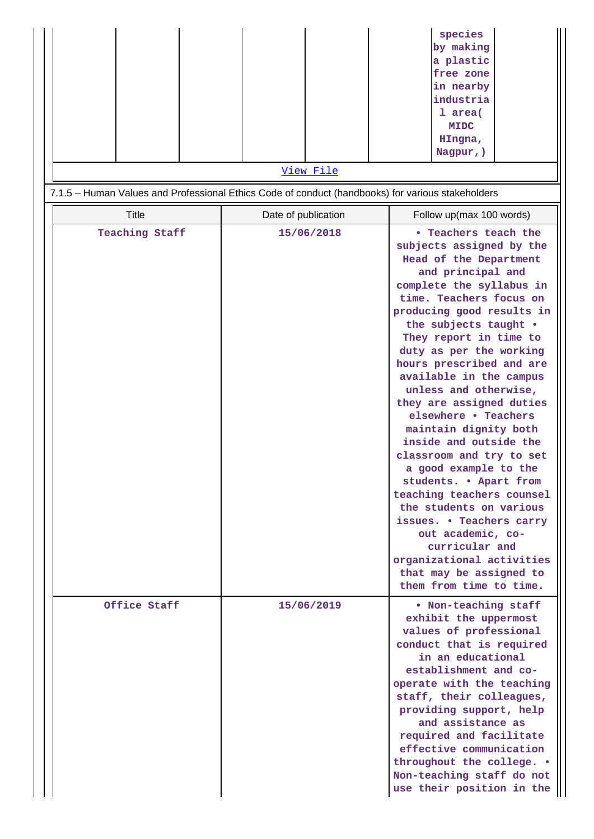|                                                                                                   | View File           | species<br>by making<br>a plastic<br>free zone<br>in nearby<br>industria<br>1 area(<br><b>MIDC</b><br>HIngna,<br>Nagpur, )                                                                                                                                                                                                                                                                                                                                                                                                                                                                                                                                                                                                                            |
|---------------------------------------------------------------------------------------------------|---------------------|-------------------------------------------------------------------------------------------------------------------------------------------------------------------------------------------------------------------------------------------------------------------------------------------------------------------------------------------------------------------------------------------------------------------------------------------------------------------------------------------------------------------------------------------------------------------------------------------------------------------------------------------------------------------------------------------------------------------------------------------------------|
| 7.1.5 - Human Values and Professional Ethics Code of conduct (handbooks) for various stakeholders |                     |                                                                                                                                                                                                                                                                                                                                                                                                                                                                                                                                                                                                                                                                                                                                                       |
| <b>Title</b>                                                                                      | Date of publication | Follow up(max 100 words)                                                                                                                                                                                                                                                                                                                                                                                                                                                                                                                                                                                                                                                                                                                              |
| <b>Teaching Staff</b>                                                                             | 15/06/2018          | • Teachers teach the<br>subjects assigned by the<br>Head of the Department<br>and principal and<br>complete the syllabus in<br>time. Teachers focus on<br>producing good results in<br>the subjects taught .<br>They report in time to<br>duty as per the working<br>hours prescribed and are<br>available in the campus<br>unless and otherwise,<br>they are assigned duties<br>elsewhere • Teachers<br>maintain dignity both<br>inside and outside the<br>classroom and try to set<br>a good example to the<br>students. . Apart from<br>teaching teachers counsel<br>the students on various<br>issues. • Teachers carry<br>out academic, co-<br>curricular and<br>organizational activities<br>that may be assigned to<br>them from time to time. |
| Office Staff                                                                                      | 15/06/2019          | . Non-teaching staff<br>exhibit the uppermost<br>values of professional<br>conduct that is required<br>in an educational<br>establishment and co-<br>operate with the teaching<br>staff, their colleagues,<br>providing support, help<br>and assistance as<br>required and facilitate<br>effective communication<br>throughout the college. .<br>Non-teaching staff do not<br>use their position in the                                                                                                                                                                                                                                                                                                                                               |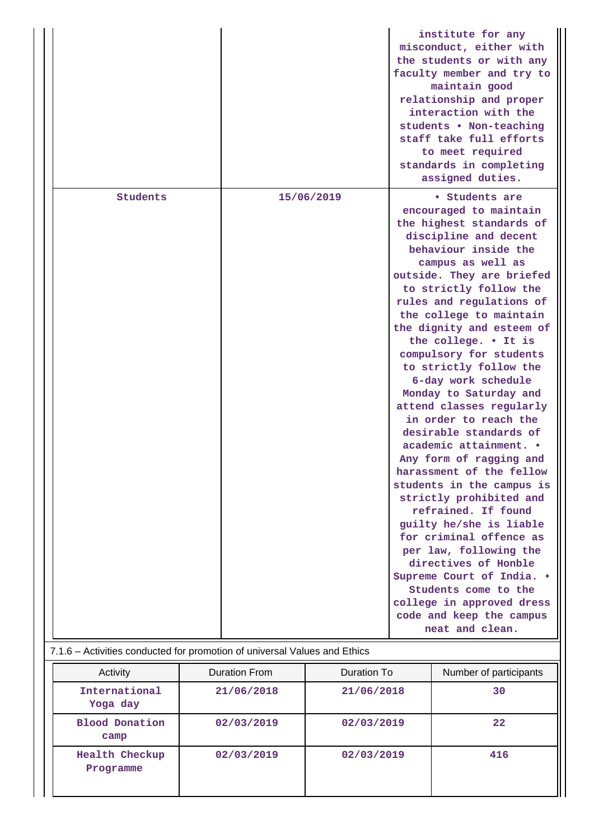|          |            | institute for any<br>misconduct, either with<br>the students or with any<br>faculty member and try to<br>maintain good<br>relationship and proper<br>interaction with the<br>students . Non-teaching<br>staff take full efforts<br>to meet required<br>standards in completing<br>assigned duties.                                                                                                                                                                                                                                                                                                                                                                                                                                                                                                                                                                                                          |
|----------|------------|-------------------------------------------------------------------------------------------------------------------------------------------------------------------------------------------------------------------------------------------------------------------------------------------------------------------------------------------------------------------------------------------------------------------------------------------------------------------------------------------------------------------------------------------------------------------------------------------------------------------------------------------------------------------------------------------------------------------------------------------------------------------------------------------------------------------------------------------------------------------------------------------------------------|
| Students | 15/06/2019 | • Students are<br>encouraged to maintain<br>the highest standards of<br>discipline and decent<br>behaviour inside the<br>campus as well as<br>outside. They are briefed<br>to strictly follow the<br>rules and regulations of<br>the college to maintain<br>the dignity and esteem of<br>the college. . It is<br>compulsory for students<br>to strictly follow the<br>6-day work schedule<br>Monday to Saturday and<br>attend classes regularly<br>in order to reach the<br>desirable standards of<br>academic attainment. .<br>Any form of ragging and<br>harassment of the fellow<br>students in the campus is<br>strictly prohibited and<br>refrained. If found<br>guilty he/she is liable<br>for criminal offence as<br>per law, following the<br>directives of Honble<br>Supreme Court of India. .<br>Students come to the<br>college in approved dress<br>code and keep the campus<br>neat and clean. |

## 7.1.6 – Activities conducted for promotion of universal Values and Ethics

| Activity                           | <b>Duration From</b> | Duration To | Number of participants |
|------------------------------------|----------------------|-------------|------------------------|
| International<br>Yoga day          | 21/06/2018           | 21/06/2018  | 30                     |
| <b>Blood Donation</b><br>camp      | 02/03/2019           | 02/03/2019  | 22                     |
| <b>Health Checkup</b><br>Programme | 02/03/2019           | 02/03/2019  | 416                    |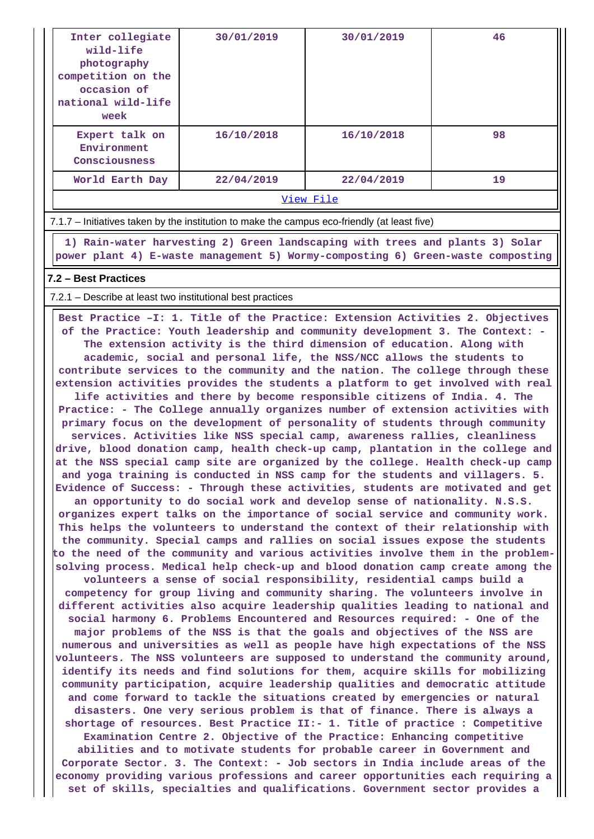| Inter collegiate<br>wild-life<br>photography<br>competition on the<br>occasion of<br>national wild-life<br>week                                                                                                                                                                                                                                                                                                                                                                                                                                                                                                                                                                                                                                                                                                                                                                                                                                                      | 30/01/2019                                                                   | 30/01/2019 | 46 |  |  |  |
|----------------------------------------------------------------------------------------------------------------------------------------------------------------------------------------------------------------------------------------------------------------------------------------------------------------------------------------------------------------------------------------------------------------------------------------------------------------------------------------------------------------------------------------------------------------------------------------------------------------------------------------------------------------------------------------------------------------------------------------------------------------------------------------------------------------------------------------------------------------------------------------------------------------------------------------------------------------------|------------------------------------------------------------------------------|------------|----|--|--|--|
| Expert talk on<br>Environment<br>Consciousness                                                                                                                                                                                                                                                                                                                                                                                                                                                                                                                                                                                                                                                                                                                                                                                                                                                                                                                       | 16/10/2018                                                                   | 16/10/2018 | 98 |  |  |  |
| World Earth Day                                                                                                                                                                                                                                                                                                                                                                                                                                                                                                                                                                                                                                                                                                                                                                                                                                                                                                                                                      | 22/04/2019                                                                   | 22/04/2019 | 19 |  |  |  |
|                                                                                                                                                                                                                                                                                                                                                                                                                                                                                                                                                                                                                                                                                                                                                                                                                                                                                                                                                                      |                                                                              | View File  |    |  |  |  |
| 7.1.7 – Initiatives taken by the institution to make the campus eco-friendly (at least five)                                                                                                                                                                                                                                                                                                                                                                                                                                                                                                                                                                                                                                                                                                                                                                                                                                                                         |                                                                              |            |    |  |  |  |
| power plant 4) E-waste management 5) Wormy-composting 6) Green-waste composting                                                                                                                                                                                                                                                                                                                                                                                                                                                                                                                                                                                                                                                                                                                                                                                                                                                                                      | 1) Rain-water harvesting 2) Green landscaping with trees and plants 3) Solar |            |    |  |  |  |
| 7.2 - Best Practices                                                                                                                                                                                                                                                                                                                                                                                                                                                                                                                                                                                                                                                                                                                                                                                                                                                                                                                                                 |                                                                              |            |    |  |  |  |
|                                                                                                                                                                                                                                                                                                                                                                                                                                                                                                                                                                                                                                                                                                                                                                                                                                                                                                                                                                      |                                                                              |            |    |  |  |  |
| 7.2.1 – Describe at least two institutional best practices<br>Best Practice -I: 1. Title of the Practice: Extension Activities 2. Objectives<br>of the Practice: Youth leadership and community development 3. The Context: -<br>The extension activity is the third dimension of education. Along with<br>academic, social and personal life, the NSS/NCC allows the students to<br>contribute services to the community and the nation. The college through these<br>extension activities provides the students a platform to get involved with real<br>life activities and there by become responsible citizens of India. 4. The<br>Practice: - The College annually organizes number of extension activities with<br>primary focus on the development of personality of students through community<br>services. Activities like NSS special camp, awareness rallies, cleanliness<br>drive blood donation camp bealth check-up camp plantation in the college and |                                                                              |            |    |  |  |  |

**donation camp, health check-up camp, plantation in the colleg at the NSS special camp site are organized by the college. Health check-up camp and yoga training is conducted in NSS camp for the students and villagers. 5. Evidence of Success: - Through these activities, students are motivated and get an opportunity to do social work and develop sense of nationality. N.S.S.**

**organizes expert talks on the importance of social service and community work. This helps the volunteers to understand the context of their relationship with the community. Special camps and rallies on social issues expose the students to the need of the community and various activities involve them in the problemsolving process. Medical help check-up and blood donation camp create among the**

**volunteers a sense of social responsibility, residential camps build a competency for group living and community sharing. The volunteers involve in different activities also acquire leadership qualities leading to national and social harmony 6. Problems Encountered and Resources required: - One of the major problems of the NSS is that the goals and objectives of the NSS are numerous and universities as well as people have high expectations of the NSS volunteers. The NSS volunteers are supposed to understand the community around, identify its needs and find solutions for them, acquire skills for mobilizing community participation, acquire leadership qualities and democratic attitude and come forward to tackle the situations created by emergencies or natural disasters. One very serious problem is that of finance. There is always a shortage of resources. Best Practice II:- 1. Title of practice : Competitive Examination Centre 2. Objective of the Practice: Enhancing competitive**

**abilities and to motivate students for probable career in Government and Corporate Sector. 3. The Context: - Job sectors in India include areas of the economy providing various professions and career opportunities each requiring a set of skills, specialties and qualifications. Government sector provides a**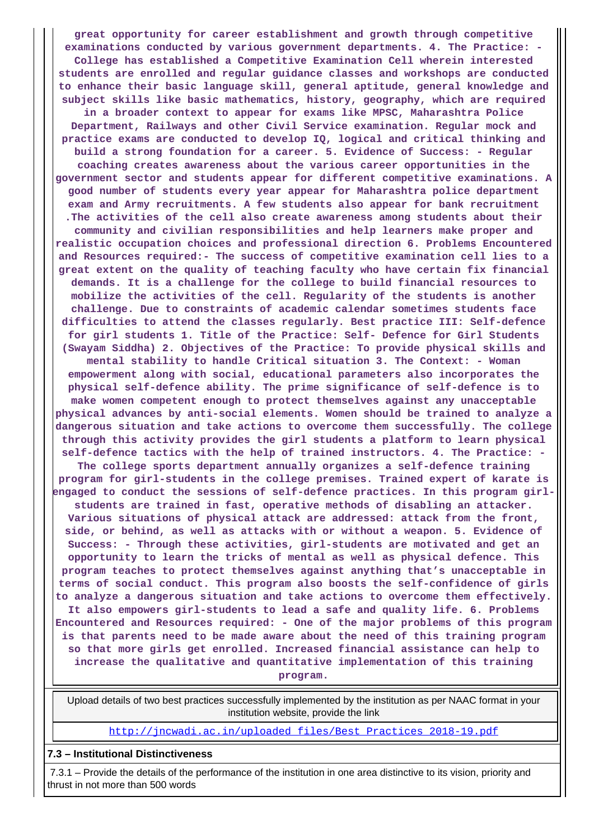**great opportunity for career establishment and growth through competitive examinations conducted by various government departments. 4. The Practice: - College has established a Competitive Examination Cell wherein interested students are enrolled and regular guidance classes and workshops are conducted to enhance their basic language skill, general aptitude, general knowledge and subject skills like basic mathematics, history, geography, which are required in a broader context to appear for exams like MPSC, Maharashtra Police Department, Railways and other Civil Service examination. Regular mock and practice exams are conducted to develop IQ, logical and critical thinking and build a strong foundation for a career. 5. Evidence of Success: - Regular coaching creates awareness about the various career opportunities in the government sector and students appear for different competitive examinations. A good number of students every year appear for Maharashtra police department exam and Army recruitments. A few students also appear for bank recruitment .The activities of the cell also create awareness among students about their community and civilian responsibilities and help learners make proper and realistic occupation choices and professional direction 6. Problems Encountered and Resources required:- The success of competitive examination cell lies to a great extent on the quality of teaching faculty who have certain fix financial demands. It is a challenge for the college to build financial resources to mobilize the activities of the cell. Regularity of the students is another challenge. Due to constraints of academic calendar sometimes students face difficulties to attend the classes regularly. Best practice III: Self-defence for girl students 1. Title of the Practice: Self- Defence for Girl Students (Swayam Siddha) 2. Objectives of the Practice: To provide physical skills and mental stability to handle Critical situation 3. The Context: - Woman empowerment along with social, educational parameters also incorporates the physical self-defence ability. The prime significance of self-defence is to make women competent enough to protect themselves against any unacceptable physical advances by anti-social elements. Women should be trained to analyze a dangerous situation and take actions to overcome them successfully. The college through this activity provides the girl students a platform to learn physical self-defence tactics with the help of trained instructors. 4. The Practice: - The college sports department annually organizes a self-defence training program for girl-students in the college premises. Trained expert of karate is engaged to conduct the sessions of self-defence practices. In this program girlstudents are trained in fast, operative methods of disabling an attacker. Various situations of physical attack are addressed: attack from the front, side, or behind, as well as attacks with or without a weapon. 5. Evidence of Success: - Through these activities, girl-students are motivated and get an opportunity to learn the tricks of mental as well as physical defence. This program teaches to protect themselves against anything that's unacceptable in terms of social conduct. This program also boosts the self-confidence of girls to analyze a dangerous situation and take actions to overcome them effectively. It also empowers girl-students to lead a safe and quality life. 6. Problems Encountered and Resources required: - One of the major problems of this program is that parents need to be made aware about the need of this training program so that more girls get enrolled. Increased financial assistance can help to increase the qualitative and quantitative implementation of this training program.**

 Upload details of two best practices successfully implemented by the institution as per NAAC format in your institution website, provide the link

[http://jncwadi.ac.in/uploaded\\_files/Best\\_Practices\\_2018-19.pdf](http://jncwadi.ac.in/uploaded_files/Best_Practices_2018-19.pdf)

#### **7.3 – Institutional Distinctiveness**

 7.3.1 – Provide the details of the performance of the institution in one area distinctive to its vision, priority and thrust in not more than 500 words